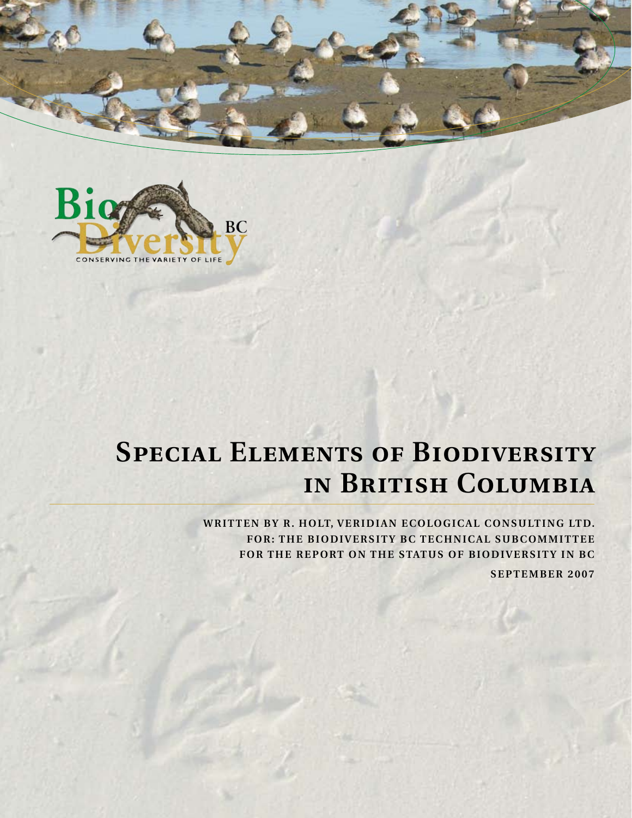



# **Special Elements of Biodiversity in British Columbia**

WRITTEN BY R. HOLT, VERIDIAN ECOLOGICAL CONSULTING LTD. FOR: THE BIODIVERSITY BC TECHNICAL SUBCOMMITTEE FOR THE REPORT ON THE STATUS OF BIODIVERSITY IN BC

**SEPTEMBER 2007**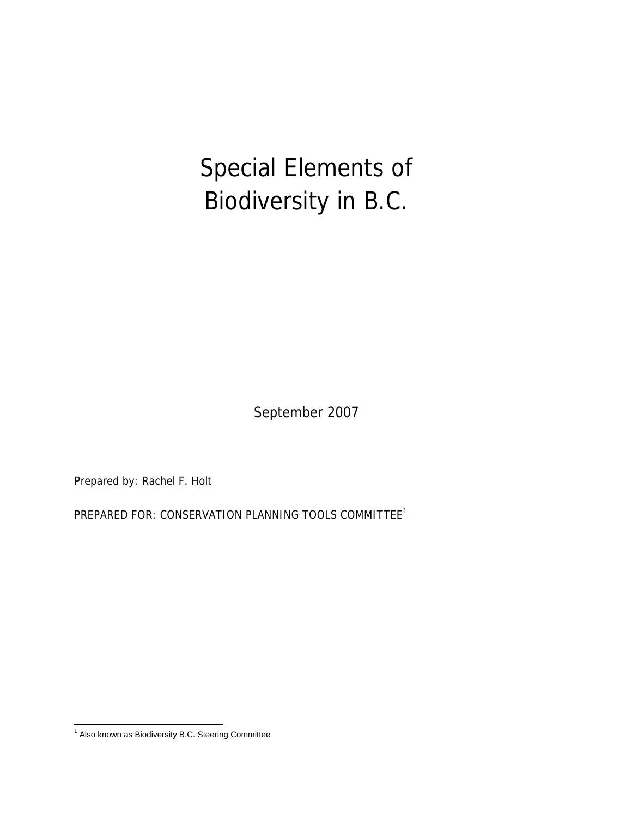Special Elements of Biodiversity in B.C.

September 2007

Prepared by: Rachel F. Holt

PREPARED FOR: CONSERVATION PLANNING TOOLS COMMITTEE<sup>1</sup>

 1 Also known as Biodiversity B.C. Steering Committee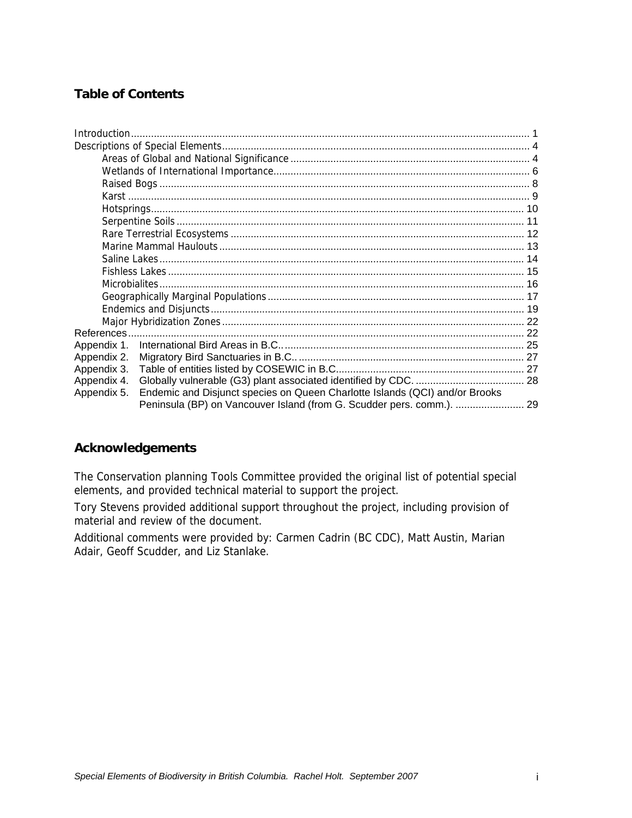# **Table of Contents**

| Appendix 1. |                                                                             |  |
|-------------|-----------------------------------------------------------------------------|--|
| Appendix 2. |                                                                             |  |
| Appendix 3. |                                                                             |  |
| Appendix 4. |                                                                             |  |
| Appendix 5. | Endemic and Disjunct species on Queen Charlotte Islands (QCI) and/or Brooks |  |
|             | Peninsula (BP) on Vancouver Island (from G. Scudder pers. comm.).  29       |  |

#### **Acknowledgements**

The Conservation planning Tools Committee provided the original list of potential special elements, and provided technical material to support the project.

Tory Stevens provided additional support throughout the project, including provision of material and review of the document.

Additional comments were provided by: Carmen Cadrin (BC CDC), Matt Austin, Marian Adair, Geoff Scudder, and Liz Stanlake.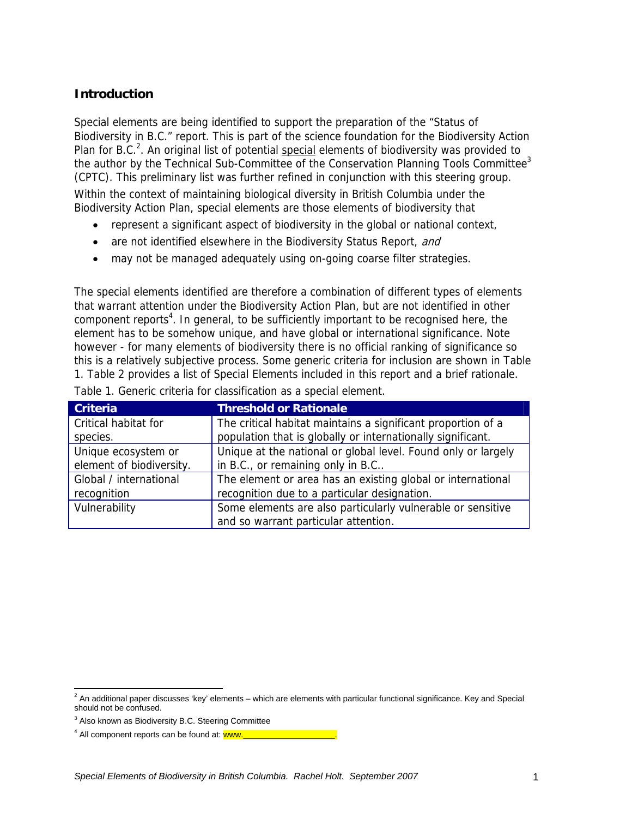# **Introduction**

Special elements are being identified to support the preparation of the "Status of Biodiversity in B.C." report. This is part of the science foundation for the Biodiversity Action Plan for B.C.<sup>2</sup>. An original list of potential special elements of biodiversity was provided to the author by the Technical Sub-Committee of the Conservation Planning Tools Committee<sup>3</sup> (CPTC). This preliminary list was further refined in conjunction with this steering group. Within the context of maintaining biological diversity in British Columbia under the Biodiversity Action Plan, special elements are those elements of biodiversity that

- represent a significant aspect of biodiversity in the global or national context,
- are not identified elsewhere in the Biodiversity Status Report, and
- may not be managed adequately using on-going coarse filter strategies.

The special elements identified are therefore a combination of different types of elements that warrant attention under the Biodiversity Action Plan, but are not identified in other component reports<sup>4</sup>. In general, to be sufficiently important to be recognised here, the element has to be somehow unique, and have global or international significance. Note however - for many elements of biodiversity there is no official ranking of significance so this is a relatively subjective process. Some generic criteria for inclusion are shown in Table 1. Table 2 provides a list of Special Elements included in this report and a brief rationale.

| <b>Criteria</b>          | <b>Threshold or Rationale</b>                                 |
|--------------------------|---------------------------------------------------------------|
| Critical habitat for     | The critical habitat maintains a significant proportion of a  |
| species.                 | population that is globally or internationally significant.   |
| Unique ecosystem or      | Unique at the national or global level. Found only or largely |
| element of biodiversity. | in B.C., or remaining only in B.C                             |
| Global / international   | The element or area has an existing global or international   |
| recognition              | recognition due to a particular designation.                  |
| Vulnerability            | Some elements are also particularly vulnerable or sensitive   |
|                          | and so warrant particular attention.                          |

| Table 1. Generic criteria for classification as a special element. |
|--------------------------------------------------------------------|
|--------------------------------------------------------------------|

 $^2$  An additional paper discusses 'key' elements – which are elements with particular functional significance. Key and Special should not be confused.

<sup>&</sup>lt;sup>3</sup> Also known as Biodiversity B.C. Steering Committee

<sup>&</sup>lt;sup>4</sup> All component reports can be found at: **www.\_\_\_\_\_\_\_\_\_\_\_\_\_\_\_\_\_\_\_\_\_\_**.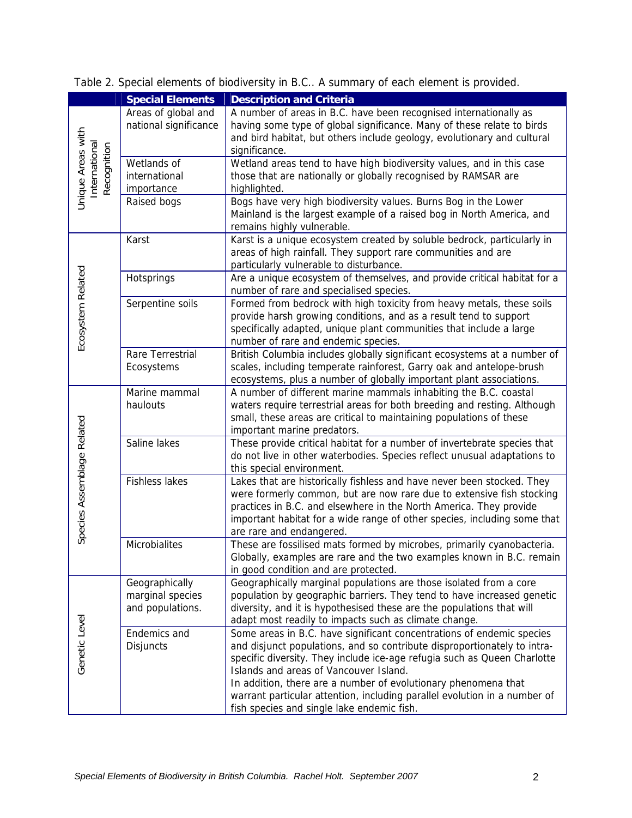|                                                  | <b>Special Elements</b>                                | <b>Description and Criteria</b>                                                                                                                                                                                                                                                                                                                                                                                                                                      |
|--------------------------------------------------|--------------------------------------------------------|----------------------------------------------------------------------------------------------------------------------------------------------------------------------------------------------------------------------------------------------------------------------------------------------------------------------------------------------------------------------------------------------------------------------------------------------------------------------|
|                                                  | Areas of global and<br>national significance           | A number of areas in B.C. have been recognised internationally as<br>having some type of global significance. Many of these relate to birds<br>and bird habitat, but others include geology, evolutionary and cultural<br>significance.                                                                                                                                                                                                                              |
| Unique Areas with<br>nternational<br>Recognition | Wetlands of<br>international<br>importance             | Wetland areas tend to have high biodiversity values, and in this case<br>those that are nationally or globally recognised by RAMSAR are<br>highlighted.                                                                                                                                                                                                                                                                                                              |
|                                                  | Raised bogs                                            | Bogs have very high biodiversity values. Burns Bog in the Lower<br>Mainland is the largest example of a raised bog in North America, and<br>remains highly vulnerable.                                                                                                                                                                                                                                                                                               |
|                                                  | Karst                                                  | Karst is a unique ecosystem created by soluble bedrock, particularly in<br>areas of high rainfall. They support rare communities and are<br>particularly vulnerable to disturbance.                                                                                                                                                                                                                                                                                  |
|                                                  | Hotsprings                                             | Are a unique ecosystem of themselves, and provide critical habitat for a<br>number of rare and specialised species.                                                                                                                                                                                                                                                                                                                                                  |
| Ecosystem<br>Related                             | Serpentine soils                                       | Formed from bedrock with high toxicity from heavy metals, these soils<br>provide harsh growing conditions, and as a result tend to support<br>specifically adapted, unique plant communities that include a large<br>number of rare and endemic species.                                                                                                                                                                                                             |
|                                                  | Rare Terrestrial<br>Ecosystems                         | British Columbia includes globally significant ecosystems at a number of<br>scales, including temperate rainforest, Garry oak and antelope-brush<br>ecosystems, plus a number of globally important plant associations.                                                                                                                                                                                                                                              |
|                                                  | Marine mammal<br>haulouts                              | A number of different marine mammals inhabiting the B.C. coastal<br>waters require terrestrial areas for both breeding and resting. Although<br>small, these areas are critical to maintaining populations of these<br>important marine predators.                                                                                                                                                                                                                   |
|                                                  | Saline lakes                                           | These provide critical habitat for a number of invertebrate species that<br>do not live in other waterbodies. Species reflect unusual adaptations to<br>this special environment.                                                                                                                                                                                                                                                                                    |
| Species Assemblage Related                       | <b>Fishless lakes</b>                                  | Lakes that are historically fishless and have never been stocked. They<br>were formerly common, but are now rare due to extensive fish stocking<br>practices in B.C. and elsewhere in the North America. They provide<br>important habitat for a wide range of other species, including some that<br>are rare and endangered.                                                                                                                                        |
|                                                  | Microbialites                                          | These are fossilised mats formed by microbes, primarily cyanobacteria.<br>Globally, examples are rare and the two examples known in B.C. remain<br>in good condition and are protected.                                                                                                                                                                                                                                                                              |
| Genetic Level                                    | Geographically<br>marginal species<br>and populations. | Geographically marginal populations are those isolated from a core<br>population by geographic barriers. They tend to have increased genetic<br>diversity, and it is hypothesised these are the populations that will<br>adapt most readily to impacts such as climate change.                                                                                                                                                                                       |
|                                                  | Endemics and<br>Disjuncts                              | Some areas in B.C. have significant concentrations of endemic species<br>and disjunct populations, and so contribute disproportionately to intra-<br>specific diversity. They include ice-age refugia such as Queen Charlotte<br>Islands and areas of Vancouver Island.<br>In addition, there are a number of evolutionary phenomena that<br>warrant particular attention, including parallel evolution in a number of<br>fish species and single lake endemic fish. |

Table 2. Special elements of biodiversity in B.C.. A summary of each element is provided.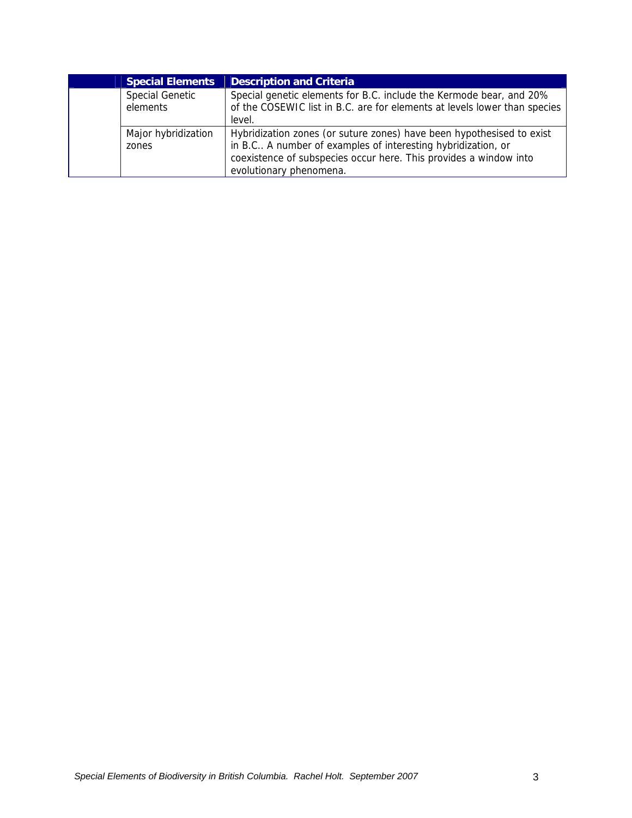| <b>Special Elements</b>            | <b>Description and Criteria</b>                                                                                                                                                                                                       |
|------------------------------------|---------------------------------------------------------------------------------------------------------------------------------------------------------------------------------------------------------------------------------------|
| <b>Special Genetic</b><br>elements | Special genetic elements for B.C. include the Kermode bear, and 20%<br>of the COSEWIC list in B.C. are for elements at levels lower than species<br>level.                                                                            |
| Major hybridization<br>zones       | Hybridization zones (or suture zones) have been hypothesised to exist<br>in B.C A number of examples of interesting hybridization, or<br>coexistence of subspecies occur here. This provides a window into<br>evolutionary phenomena. |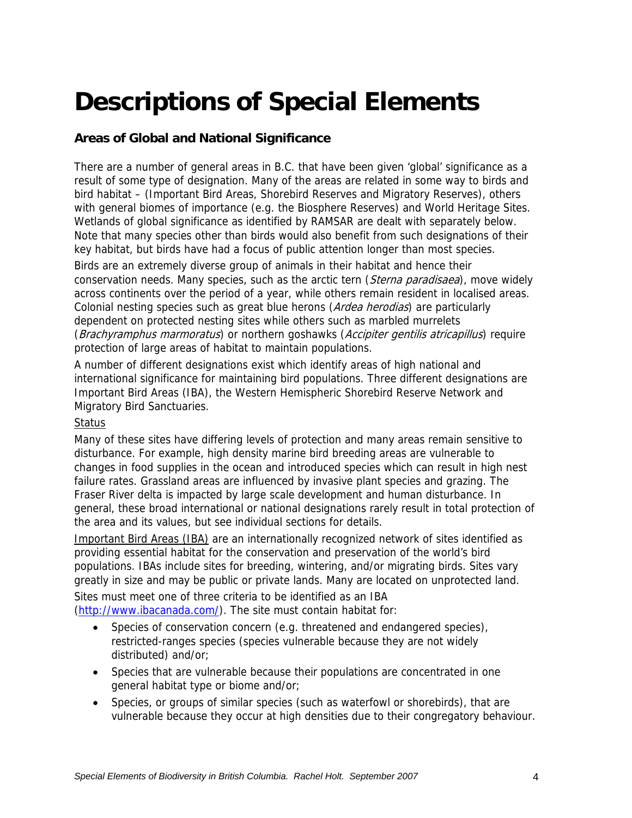# **Descriptions of Special Elements**

# **Areas of Global and National Significance**

There are a number of general areas in B.C. that have been given 'global' significance as a result of some type of designation. Many of the areas are related in some way to birds and bird habitat – (Important Bird Areas, Shorebird Reserves and Migratory Reserves), others with general biomes of importance (e.g. the Biosphere Reserves) and World Heritage Sites. Wetlands of global significance as identified by RAMSAR are dealt with separately below. Note that many species other than birds would also benefit from such designations of their key habitat, but birds have had a focus of public attention longer than most species.

Birds are an extremely diverse group of animals in their habitat and hence their conservation needs. Many species, such as the arctic tern (Sterna paradisaea), move widely across continents over the period of a year, while others remain resident in localised areas. Colonial nesting species such as great blue herons (Ardea herodias) are particularly dependent on protected nesting sites while others such as marbled murrelets (Brachyramphus marmoratus) or northern goshawks (Accipiter gentilis atricapillus) require protection of large areas of habitat to maintain populations.

A number of different designations exist which identify areas of high national and international significance for maintaining bird populations. Three different designations are Important Bird Areas (IBA), the Western Hemispheric Shorebird Reserve Network and Migratory Bird Sanctuaries.

#### **Status**

Many of these sites have differing levels of protection and many areas remain sensitive to disturbance. For example, high density marine bird breeding areas are vulnerable to changes in food supplies in the ocean and introduced species which can result in high nest failure rates. Grassland areas are influenced by invasive plant species and grazing. The Fraser River delta is impacted by large scale development and human disturbance. In general, these broad international or national designations rarely result in total protection of the area and its values, but see individual sections for details.

Important Bird Areas (IBA) are an internationally recognized network of sites identified as providing essential habitat for the conservation and preservation of the world's bird populations. IBAs include sites for breeding, wintering, and/or migrating birds. Sites vary greatly in size and may be public or private lands. Many are located on unprotected land.

Sites must meet one of three criteria to be identified as an IBA (http://www.ibacanada.com/). The site must contain habitat for:

- Species of conservation concern (e.g. threatened and endangered species), restricted-ranges species (species vulnerable because they are not widely distributed) and/or;
- Species that are vulnerable because their populations are concentrated in one general habitat type or biome and/or;
- Species, or groups of similar species (such as waterfowl or shorebirds), that are vulnerable because they occur at high densities due to their congregatory behaviour.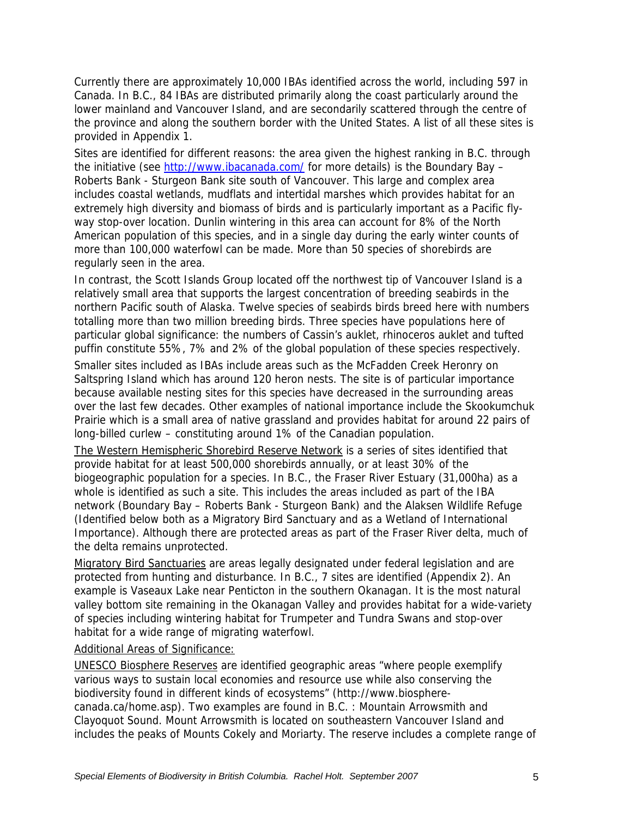Currently there are approximately 10,000 IBAs identified across the world, including 597 in Canada. In B.C., 84 IBAs are distributed primarily along the coast particularly around the lower mainland and Vancouver Island, and are secondarily scattered through the centre of the province and along the southern border with the United States. A list of all these sites is provided in Appendix 1.

Sites are identified for different reasons: the area given the highest ranking in B.C. through the initiative (see http://www.ibacanada.com/ for more details) is the Boundary Bay – Roberts Bank - Sturgeon Bank site south of Vancouver. This large and complex area includes coastal wetlands, mudflats and intertidal marshes which provides habitat for an extremely high diversity and biomass of birds and is particularly important as a Pacific flyway stop-over location. Dunlin wintering in this area can account for 8% of the North American population of this species, and in a single day during the early winter counts of more than 100,000 waterfowl can be made. More than 50 species of shorebirds are regularly seen in the area.

In contrast, the Scott Islands Group located off the northwest tip of Vancouver Island is a relatively small area that supports the largest concentration of breeding seabirds in the northern Pacific south of Alaska. Twelve species of seabirds birds breed here with numbers totalling more than two million breeding birds. Three species have populations here of particular global significance: the numbers of Cassin's auklet, rhinoceros auklet and tufted puffin constitute 55%, 7% and 2% of the global population of these species respectively.

Smaller sites included as IBAs include areas such as the McFadden Creek Heronry on Saltspring Island which has around 120 heron nests. The site is of particular importance because available nesting sites for this species have decreased in the surrounding areas over the last few decades. Other examples of national importance include the Skookumchuk Prairie which is a small area of native grassland and provides habitat for around 22 pairs of long-billed curlew – constituting around 1% of the Canadian population.

The Western Hemispheric Shorebird Reserve Network is a series of sites identified that provide habitat for at least 500,000 shorebirds annually, or at least 30% of the biogeographic population for a species. In B.C., the Fraser River Estuary (31,000ha) as a whole is identified as such a site. This includes the areas included as part of the IBA network (Boundary Bay – Roberts Bank - Sturgeon Bank) and the Alaksen Wildlife Refuge (Identified below both as a Migratory Bird Sanctuary and as a Wetland of International Importance). Although there are protected areas as part of the Fraser River delta, much of the delta remains unprotected.

Migratory Bird Sanctuaries are areas legally designated under federal legislation and are protected from hunting and disturbance. In B.C., 7 sites are identified (Appendix 2). An example is Vaseaux Lake near Penticton in the southern Okanagan. It is the most natural valley bottom site remaining in the Okanagan Valley and provides habitat for a wide-variety of species including wintering habitat for Trumpeter and Tundra Swans and stop-over habitat for a wide range of migrating waterfowl.

Additional Areas of Significance:

UNESCO Biosphere Reserves are identified geographic areas "where people exemplify various ways to sustain local economies and resource use while also conserving the biodiversity found in different kinds of ecosystems" (http://www.biospherecanada.ca/home.asp). Two examples are found in B.C. : Mountain Arrowsmith and Clayoquot Sound. Mount Arrowsmith is located on southeastern Vancouver Island and includes the peaks of Mounts Cokely and Moriarty. The reserve includes a complete range of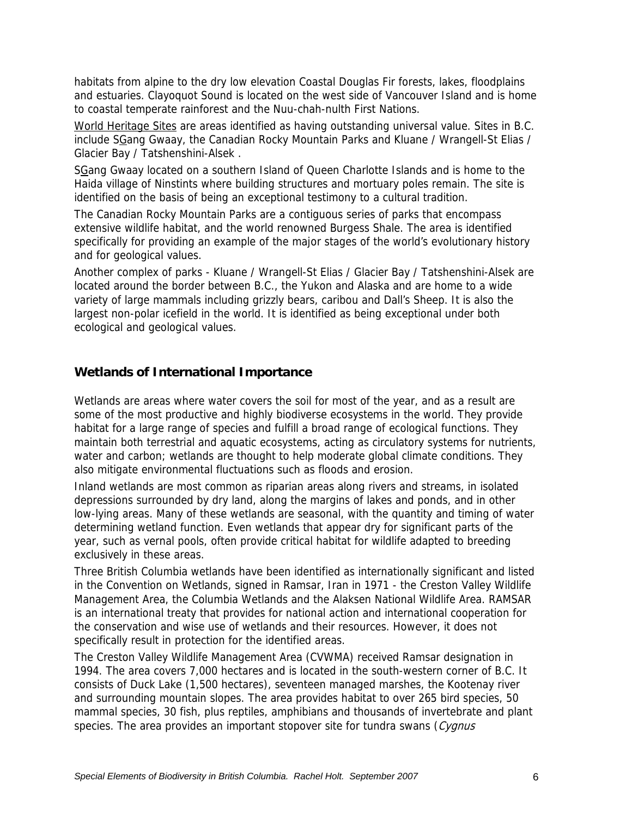habitats from alpine to the dry low elevation Coastal Douglas Fir forests, lakes, floodplains and estuaries. Clayoquot Sound is located on the west side of Vancouver Island and is home to coastal temperate rainforest and the Nuu-chah-nulth First Nations.

World Heritage Sites are areas identified as having outstanding universal value. Sites in B.C. include SGang Gwaay, the Canadian Rocky Mountain Parks and Kluane / Wrangell-St Elias / Glacier Bay / Tatshenshini-Alsek .

SGang Gwaay located on a southern Island of Queen Charlotte Islands and is home to the Haida village of Ninstints where building structures and mortuary poles remain. The site is identified on the basis of being an exceptional testimony to a cultural tradition.

The Canadian Rocky Mountain Parks are a contiguous series of parks that encompass extensive wildlife habitat, and the world renowned Burgess Shale. The area is identified specifically for providing an example of the major stages of the world's evolutionary history and for geological values.

Another complex of parks - Kluane / Wrangell-St Elias / Glacier Bay / Tatshenshini-Alsek are located around the border between B.C., the Yukon and Alaska and are home to a wide variety of large mammals including grizzly bears, caribou and Dall's Sheep. It is also the largest non-polar icefield in the world. It is identified as being exceptional under both ecological and geological values.

#### **Wetlands of International Importance**

Wetlands are areas where water covers the soil for most of the year, and as a result are some of the most productive and highly biodiverse ecosystems in the world. They provide habitat for a large range of species and fulfill a broad range of ecological functions. They maintain both terrestrial and aquatic ecosystems, acting as circulatory systems for nutrients, water and carbon; wetlands are thought to help moderate global climate conditions. They also mitigate environmental fluctuations such as floods and erosion.

Inland wetlands are most common as riparian areas along rivers and streams, in isolated depressions surrounded by dry land, along the margins of lakes and ponds, and in other low-lying areas. Many of these wetlands are seasonal, with the quantity and timing of water determining wetland function. Even wetlands that appear dry for significant parts of the year, such as vernal pools, often provide critical habitat for wildlife adapted to breeding exclusively in these areas.

Three British Columbia wetlands have been identified as internationally significant and listed in the Convention on Wetlands, signed in Ramsar, Iran in 1971 - the Creston Valley Wildlife Management Area, the Columbia Wetlands and the Alaksen National Wildlife Area. RAMSAR is an international treaty that provides for national action and international cooperation for the conservation and wise use of wetlands and their resources. However, it does not specifically result in protection for the identified areas.

The Creston Valley Wildlife Management Area (CVWMA) received Ramsar designation in 1994. The area covers 7,000 hectares and is located in the south-western corner of B.C. It consists of Duck Lake (1,500 hectares), seventeen managed marshes, the Kootenay river and surrounding mountain slopes. The area provides habitat to over 265 bird species, 50 mammal species, 30 fish, plus reptiles, amphibians and thousands of invertebrate and plant species. The area provides an important stopover site for tundra swans (Cygnus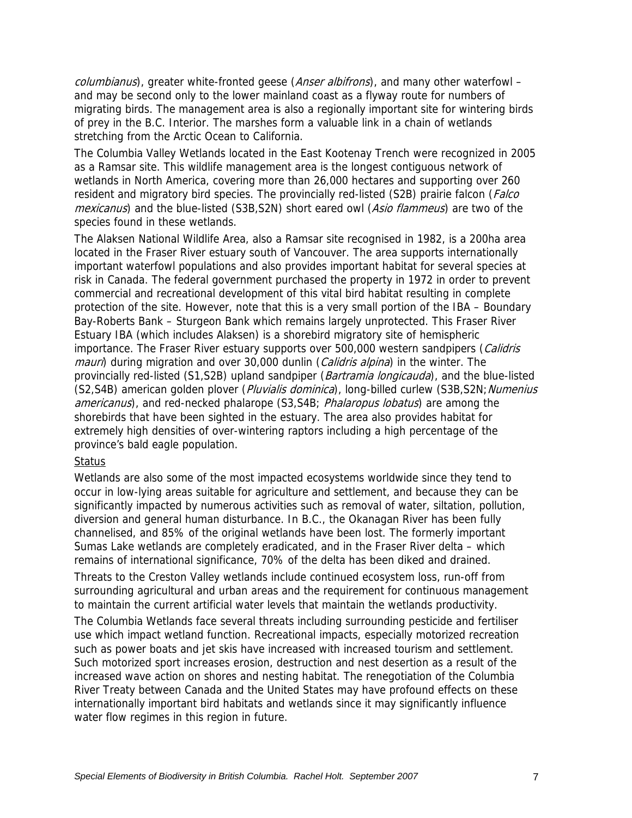columbianus), greater white-fronted geese (Anser albifrons), and many other waterfowl – and may be second only to the lower mainland coast as a flyway route for numbers of migrating birds. The management area is also a regionally important site for wintering birds of prey in the B.C. Interior. The marshes form a valuable link in a chain of wetlands stretching from the Arctic Ocean to California.

The Columbia Valley Wetlands located in the East Kootenay Trench were recognized in 2005 as a Ramsar site. This wildlife management area is the longest contiguous network of wetlands in North America, covering more than 26,000 hectares and supporting over 260 resident and migratory bird species. The provincially red-listed (S2B) prairie falcon (*Falco* mexicanus) and the blue-listed (S3B,S2N) short eared owl (Asio flammeus) are two of the species found in these wetlands.

The Alaksen National Wildlife Area, also a Ramsar site recognised in 1982, is a 200ha area located in the Fraser River estuary south of Vancouver. The area supports internationally important waterfowl populations and also provides important habitat for several species at risk in Canada. The federal government purchased the property in 1972 in order to prevent commercial and recreational development of this vital bird habitat resulting in complete protection of the site. However, note that this is a very small portion of the IBA – Boundary Bay-Roberts Bank – Sturgeon Bank which remains largely unprotected. This Fraser River Estuary IBA (which includes Alaksen) is a shorebird migratory site of hemispheric importance. The Fraser River estuary supports over 500,000 western sandpipers (Calidris mauri) during migration and over 30,000 dunlin (Calidris alpina) in the winter. The provincially red-listed (S1,S2B) upland sandpiper (*Bartramia longicauda*), and the blue-listed (S2,S4B) american golden plover (Pluvialis dominica), long-billed curlew (S3B,S2N; Numenius americanus), and red-necked phalarope (S3,S4B; Phalaropus lobatus) are among the shorebirds that have been sighted in the estuary. The area also provides habitat for extremely high densities of over-wintering raptors including a high percentage of the province's bald eagle population.

#### Status

Wetlands are also some of the most impacted ecosystems worldwide since they tend to occur in low-lying areas suitable for agriculture and settlement, and because they can be significantly impacted by numerous activities such as removal of water, siltation, pollution, diversion and general human disturbance. In B.C., the Okanagan River has been fully channelised, and 85% of the original wetlands have been lost. The formerly important Sumas Lake wetlands are completely eradicated, and in the Fraser River delta – which remains of international significance, 70% of the delta has been diked and drained.

Threats to the Creston Valley wetlands include continued ecosystem loss, run-off from surrounding agricultural and urban areas and the requirement for continuous management to maintain the current artificial water levels that maintain the wetlands productivity.

The Columbia Wetlands face several threats including surrounding pesticide and fertiliser use which impact wetland function. Recreational impacts, especially motorized recreation such as power boats and jet skis have increased with increased tourism and settlement. Such motorized sport increases erosion, destruction and nest desertion as a result of the increased wave action on shores and nesting habitat. The renegotiation of the Columbia River Treaty between Canada and the United States may have profound effects on these internationally important bird habitats and wetlands since it may significantly influence water flow regimes in this region in future.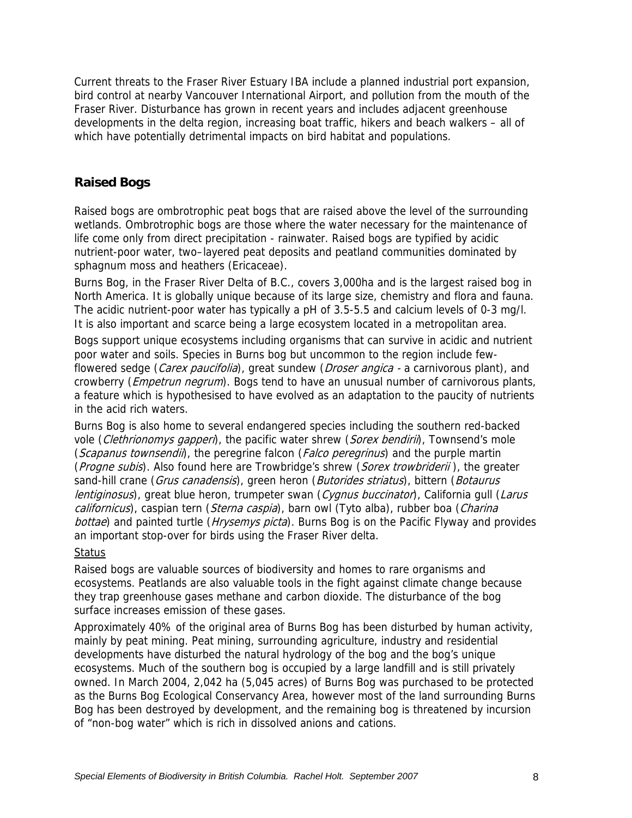Current threats to the Fraser River Estuary IBA include a planned industrial port expansion, bird control at nearby Vancouver International Airport, and pollution from the mouth of the Fraser River. Disturbance has grown in recent years and includes adjacent greenhouse developments in the delta region, increasing boat traffic, hikers and beach walkers – all of which have potentially detrimental impacts on bird habitat and populations.

# **Raised Bogs**

Raised bogs are ombrotrophic peat bogs that are raised above the level of the surrounding wetlands. Ombrotrophic bogs are those where the water necessary for the maintenance of life come only from direct precipitation - rainwater. Raised bogs are typified by acidic nutrient-poor water, two–layered peat deposits and peatland communities dominated by sphagnum moss and heathers (Ericaceae).

Burns Bog, in the Fraser River Delta of B.C., covers 3,000ha and is the largest raised bog in North America. It is globally unique because of its large size, chemistry and flora and fauna. The acidic nutrient-poor water has typically a pH of 3.5-5.5 and calcium levels of 0-3 mg/l. It is also important and scarce being a large ecosystem located in a metropolitan area.

Bogs support unique ecosystems including organisms that can survive in acidic and nutrient poor water and soils. Species in Burns bog but uncommon to the region include fewflowered sedge (Carex paucifolia), great sundew (Droser angica - a carnivorous plant), and crowberry (*Empetrun negrum*). Bogs tend to have an unusual number of carnivorous plants, a feature which is hypothesised to have evolved as an adaptation to the paucity of nutrients in the acid rich waters.

Burns Bog is also home to several endangered species including the southern red-backed vole (Clethrionomys gapperi), the pacific water shrew (Sorex bendirii), Townsend's mole (Scapanus townsendii), the peregrine falcon (Falco peregrinus) and the purple martin (*Progne subis*). Also found here are Trowbridge's shrew (*Sorex trowbriderii*), the greater sand-hill crane (Grus canadensis), green heron (Butorides striatus), bittern (Botaurus lentiginosus), great blue heron, trumpeter swan (Cygnus buccinator), California gull (Larus californicus), caspian tern (Sterna caspia), barn owl (Tyto alba), rubber boa (Charina bottae) and painted turtle (Hrysemys picta). Burns Bog is on the Pacific Flyway and provides an important stop-over for birds using the Fraser River delta.

#### **Status**

Raised bogs are valuable sources of biodiversity and homes to rare organisms and ecosystems. Peatlands are also valuable tools in the fight against climate change because they trap greenhouse gases methane and carbon dioxide. The disturbance of the bog surface increases emission of these gases.

Approximately 40% of the original area of Burns Bog has been disturbed by human activity, mainly by peat mining. Peat mining, surrounding agriculture, industry and residential developments have disturbed the natural hydrology of the bog and the bog's unique ecosystems. Much of the southern bog is occupied by a large landfill and is still privately owned. In March 2004, 2,042 ha (5,045 acres) of Burns Bog was purchased to be protected as the Burns Bog Ecological Conservancy Area, however most of the land surrounding Burns Bog has been destroyed by development, and the remaining bog is threatened by incursion of "non-bog water" which is rich in dissolved anions and cations.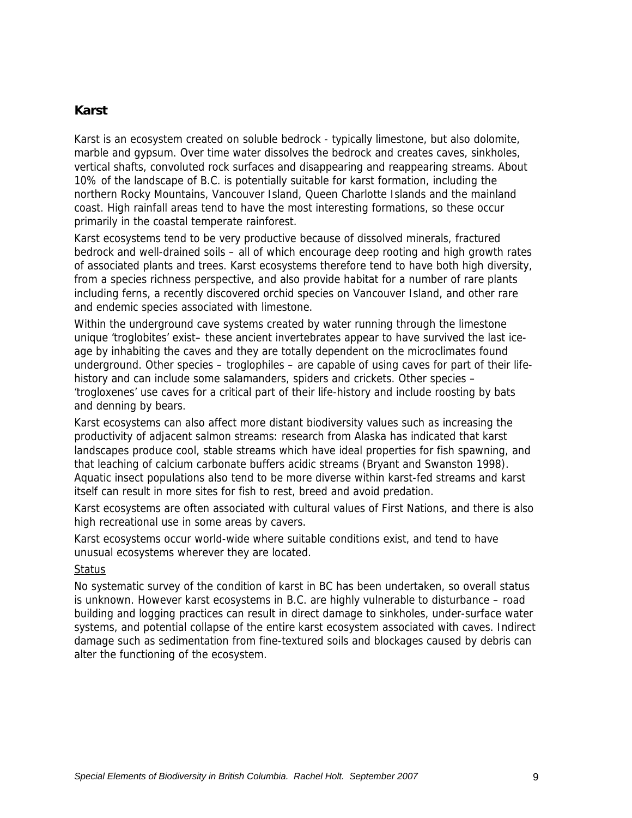#### **Karst**

Karst is an ecosystem created on soluble bedrock - typically limestone, but also dolomite, marble and gypsum. Over time water dissolves the bedrock and creates caves, sinkholes, vertical shafts, convoluted rock surfaces and disappearing and reappearing streams. About 10% of the landscape of B.C. is potentially suitable for karst formation, including the northern Rocky Mountains, Vancouver Island, Queen Charlotte Islands and the mainland coast. High rainfall areas tend to have the most interesting formations, so these occur primarily in the coastal temperate rainforest.

Karst ecosystems tend to be very productive because of dissolved minerals, fractured bedrock and well-drained soils – all of which encourage deep rooting and high growth rates of associated plants and trees. Karst ecosystems therefore tend to have both high diversity, from a species richness perspective, and also provide habitat for a number of rare plants including ferns, a recently discovered orchid species on Vancouver Island, and other rare and endemic species associated with limestone.

Within the underground cave systems created by water running through the limestone unique 'troglobites' exist– these ancient invertebrates appear to have survived the last iceage by inhabiting the caves and they are totally dependent on the microclimates found underground. Other species – troglophiles – are capable of using caves for part of their lifehistory and can include some salamanders, spiders and crickets. Other species – 'trogloxenes' use caves for a critical part of their life-history and include roosting by bats and denning by bears.

Karst ecosystems can also affect more distant biodiversity values such as increasing the productivity of adjacent salmon streams: research from Alaska has indicated that karst landscapes produce cool, stable streams which have ideal properties for fish spawning, and that leaching of calcium carbonate buffers acidic streams (Bryant and Swanston 1998). Aquatic insect populations also tend to be more diverse within karst-fed streams and karst itself can result in more sites for fish to rest, breed and avoid predation.

Karst ecosystems are often associated with cultural values of First Nations, and there is also high recreational use in some areas by cavers.

Karst ecosystems occur world-wide where suitable conditions exist, and tend to have unusual ecosystems wherever they are located.

#### Status

No systematic survey of the condition of karst in BC has been undertaken, so overall status is unknown. However karst ecosystems in B.C. are highly vulnerable to disturbance – road building and logging practices can result in direct damage to sinkholes, under-surface water systems, and potential collapse of the entire karst ecosystem associated with caves. Indirect damage such as sedimentation from fine-textured soils and blockages caused by debris can alter the functioning of the ecosystem.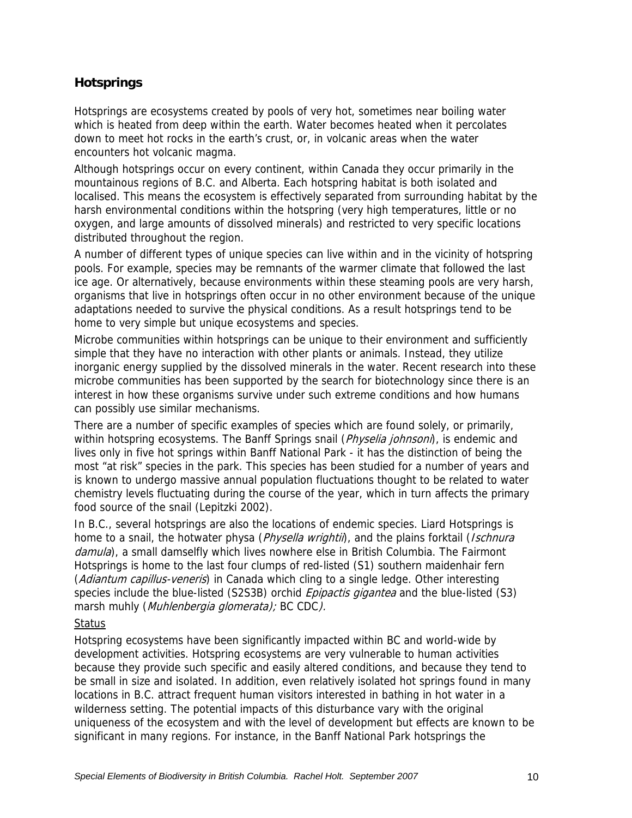# **Hotsprings**

Hotsprings are ecosystems created by pools of very hot, sometimes near boiling water which is heated from deep within the earth. Water becomes heated when it percolates down to meet hot rocks in the earth's crust, or, in volcanic areas when the water encounters hot volcanic magma.

Although hotsprings occur on every continent, within Canada they occur primarily in the mountainous regions of B.C. and Alberta. Each hotspring habitat is both isolated and localised. This means the ecosystem is effectively separated from surrounding habitat by the harsh environmental conditions within the hotspring (very high temperatures, little or no oxygen, and large amounts of dissolved minerals) and restricted to very specific locations distributed throughout the region.

A number of different types of unique species can live within and in the vicinity of hotspring pools. For example, species may be remnants of the warmer climate that followed the last ice age. Or alternatively, because environments within these steaming pools are very harsh, organisms that live in hotsprings often occur in no other environment because of the unique adaptations needed to survive the physical conditions. As a result hotsprings tend to be home to very simple but unique ecosystems and species.

Microbe communities within hotsprings can be unique to their environment and sufficiently simple that they have no interaction with other plants or animals. Instead, they utilize inorganic energy supplied by the dissolved minerals in the water. Recent research into these microbe communities has been supported by the search for biotechnology since there is an interest in how these organisms survive under such extreme conditions and how humans can possibly use similar mechanisms.

There are a number of specific examples of species which are found solely, or primarily, within hotspring ecosystems. The Banff Springs snail (*Physelia johnsoni*), is endemic and lives only in five hot springs within Banff National Park - it has the distinction of being the most "at risk" species in the park. This species has been studied for a number of years and is known to undergo massive annual population fluctuations thought to be related to water chemistry levels fluctuating during the course of the year, which in turn affects the primary food source of the snail (Lepitzki 2002).

In B.C., several hotsprings are also the locations of endemic species. Liard Hotsprings is home to a snail, the hotwater physa (*Physella wrightii*), and the plains forktail (*Ischnura* damula), a small damselfly which lives nowhere else in British Columbia. The Fairmont Hotsprings is home to the last four clumps of red-listed (S1) southern maidenhair fern (Adiantum capillus-veneris) in Canada which cling to a single ledge. Other interesting species include the blue-listed (S2S3B) orchid *Epipactis gigantea* and the blue-listed (S3) marsh muhly (*Muhlenbergia glomerata);* BC CDC*)*.

#### **Status**

Hotspring ecosystems have been significantly impacted within BC and world-wide by development activities. Hotspring ecosystems are very vulnerable to human activities because they provide such specific and easily altered conditions, and because they tend to be small in size and isolated. In addition, even relatively isolated hot springs found in many locations in B.C. attract frequent human visitors interested in bathing in hot water in a wilderness setting. The potential impacts of this disturbance vary with the original uniqueness of the ecosystem and with the level of development but effects are known to be significant in many regions. For instance, in the Banff National Park hotsprings the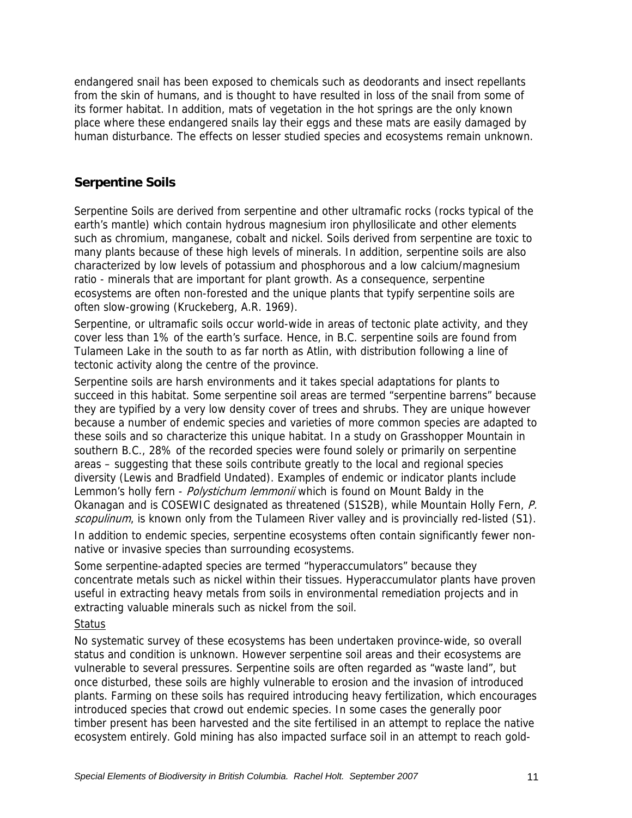endangered snail has been exposed to chemicals such as deodorants and insect repellants from the skin of humans, and is thought to have resulted in loss of the snail from some of its former habitat. In addition, mats of vegetation in the hot springs are the only known place where these endangered snails lay their eggs and these mats are easily damaged by human disturbance. The effects on lesser studied species and ecosystems remain unknown.

## **Serpentine Soils**

Serpentine Soils are derived from serpentine and other ultramafic rocks (rocks typical of the earth's mantle) which contain hydrous magnesium iron phyllosilicate and other elements such as chromium, manganese, cobalt and nickel. Soils derived from serpentine are toxic to many plants because of these high levels of minerals. In addition, serpentine soils are also characterized by low levels of potassium and phosphorous and a low calcium/magnesium ratio - minerals that are important for plant growth. As a consequence, serpentine ecosystems are often non-forested and the unique plants that typify serpentine soils are often slow-growing (Kruckeberg, A.R. 1969).

Serpentine, or ultramafic soils occur world-wide in areas of tectonic plate activity, and they cover less than 1% of the earth's surface. Hence, in B.C. serpentine soils are found from Tulameen Lake in the south to as far north as Atlin, with distribution following a line of tectonic activity along the centre of the province.

Serpentine soils are harsh environments and it takes special adaptations for plants to succeed in this habitat. Some serpentine soil areas are termed "serpentine barrens" because they are typified by a very low density cover of trees and shrubs. They are unique however because a number of endemic species and varieties of more common species are adapted to these soils and so characterize this unique habitat. In a study on Grasshopper Mountain in southern B.C., 28% of the recorded species were found solely or primarily on serpentine areas – suggesting that these soils contribute greatly to the local and regional species diversity (Lewis and Bradfield Undated). Examples of endemic or indicator plants include Lemmon's holly fern - Polystichum lemmonii which is found on Mount Baldy in the Okanagan and is COSEWIC designated as threatened (S1S2B), while Mountain Holly Fern, P. scopulinum, is known only from the Tulameen River valley and is provincially red-listed (S1).

In addition to endemic species, serpentine ecosystems often contain significantly fewer nonnative or invasive species than surrounding ecosystems.

Some serpentine-adapted species are termed "hyperaccumulators" because they concentrate metals such as nickel within their tissues. Hyperaccumulator plants have proven useful in extracting heavy metals from soils in environmental remediation projects and in extracting valuable minerals such as nickel from the soil.

#### **Status**

No systematic survey of these ecosystems has been undertaken province-wide, so overall status and condition is unknown. However serpentine soil areas and their ecosystems are vulnerable to several pressures. Serpentine soils are often regarded as "waste land", but once disturbed, these soils are highly vulnerable to erosion and the invasion of introduced plants. Farming on these soils has required introducing heavy fertilization, which encourages introduced species that crowd out endemic species. In some cases the generally poor timber present has been harvested and the site fertilised in an attempt to replace the native ecosystem entirely. Gold mining has also impacted surface soil in an attempt to reach gold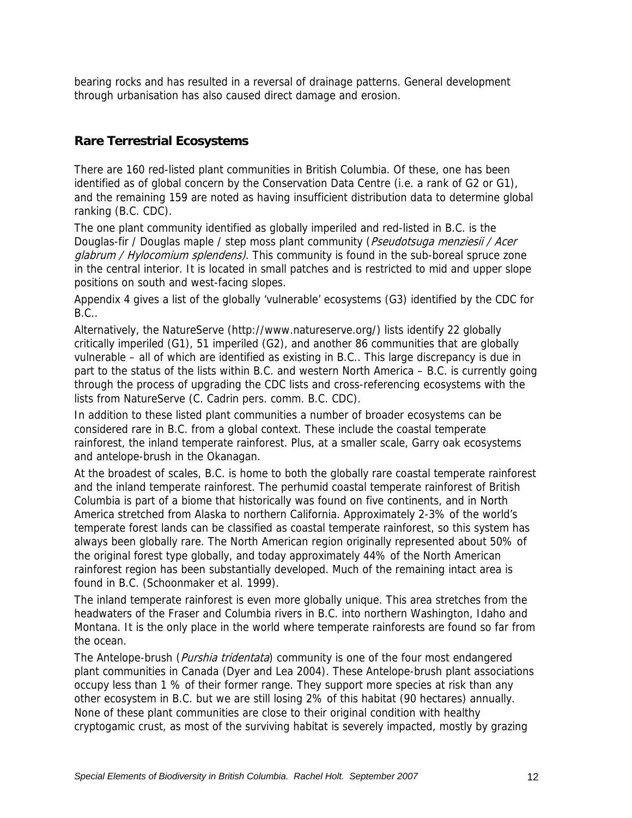bearing rocks and has resulted in a reversal of drainage patterns. General development through urbanisation has also caused direct damage and erosion.

# **Rare Terrestrial Ecosystems**

There are 160 red-listed plant communities in British Columbia. Of these, one has been identified as of global concern by the Conservation Data Centre (i.e. a rank of G2 or G1), and the remaining 159 are noted as having insufficient distribution data to determine global ranking (B.C. CDC).

The one plant community identified as globally imperiled and red-listed in B.C. is the Douglas-fir / Douglas maple / step moss plant community (Pseudotsuga menziesii / Acer glabrum / Hylocomium splendens). This community is found in the sub-boreal spruce zone in the central interior. It is located in small patches and is restricted to mid and upper slope positions on south and west-facing slopes.

Appendix 4 gives a list of the globally 'vulnerable' ecosystems (G3) identified by the CDC for B.C..

Alternatively, the NatureServe (http://www.natureserve.org/) lists identify 22 globally critically imperiled (G1), 51 imperiled (G2), and another 86 communities that are globally vulnerable – all of which are identified as existing in B.C.. This large discrepancy is due in part to the status of the lists within B.C. and western North America – B.C. is currently going through the process of upgrading the CDC lists and cross-referencing ecosystems with the lists from NatureServe (C. Cadrin pers. comm. B.C. CDC).

In addition to these listed plant communities a number of broader ecosystems can be considered rare in B.C. from a global context. These include the coastal temperate rainforest, the inland temperate rainforest. Plus, at a smaller scale, Garry oak ecosystems and antelope-brush in the Okanagan.

At the broadest of scales, B.C. is home to both the globally rare coastal temperate rainforest and the inland temperate rainforest. The perhumid coastal temperate rainforest of British Columbia is part of a biome that historically was found on five continents, and in North America stretched from Alaska to northern California. Approximately 2-3% of the world's temperate forest lands can be classified as coastal temperate rainforest, so this system has always been globally rare. The North American region originally represented about 50% of the original forest type globally, and today approximately 44% of the North American rainforest region has been substantially developed. Much of the remaining intact area is found in B.C. (Schoonmaker et al. 1999).

The inland temperate rainforest is even more globally unique. This area stretches from the headwaters of the Fraser and Columbia rivers in B.C. into northern Washington, Idaho and Montana. It is the only place in the world where temperate rainforests are found so far from the ocean.

The Antelope-brush (*Purshia tridentata*) community is one of the four most endangered plant communities in Canada (Dyer and Lea 2004). These Antelope-brush plant associations occupy less than 1 % of their former range. They support more species at risk than any other ecosystem in B.C. but we are still losing 2% of this habitat (90 hectares) annually. None of these plant communities are close to their original condition with healthy cryptogamic crust, as most of the surviving habitat is severely impacted, mostly by grazing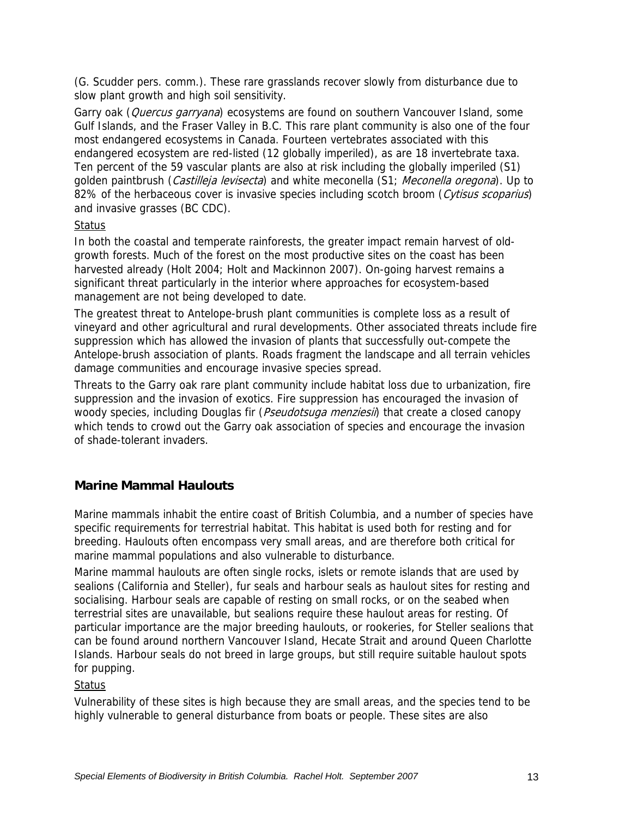(G. Scudder pers. comm.). These rare grasslands recover slowly from disturbance due to slow plant growth and high soil sensitivity.

Garry oak (*Quercus garryana*) ecosystems are found on southern Vancouver Island, some Gulf Islands, and the Fraser Valley in B.C. This rare plant community is also one of the four most endangered ecosystems in Canada. Fourteen vertebrates associated with this endangered ecosystem are red-listed (12 globally imperiled), as are 18 invertebrate taxa. Ten percent of the 59 vascular plants are also at risk including the globally imperiled (S1) golden paintbrush (Castilleja levisecta) and white meconella (S1; Meconella oregona). Up to 82% of the herbaceous cover is invasive species including scotch broom (Cytisus scoparius) and invasive grasses (BC CDC).

#### Status

In both the coastal and temperate rainforests, the greater impact remain harvest of oldgrowth forests. Much of the forest on the most productive sites on the coast has been harvested already (Holt 2004; Holt and Mackinnon 2007). On-going harvest remains a significant threat particularly in the interior where approaches for ecosystem-based management are not being developed to date.

The greatest threat to Antelope-brush plant communities is complete loss as a result of vineyard and other agricultural and rural developments. Other associated threats include fire suppression which has allowed the invasion of plants that successfully out-compete the Antelope-brush association of plants. Roads fragment the landscape and all terrain vehicles damage communities and encourage invasive species spread.

Threats to the Garry oak rare plant community include habitat loss due to urbanization, fire suppression and the invasion of exotics. Fire suppression has encouraged the invasion of woody species, including Douglas fir (*Pseudotsuga menziesii*) that create a closed canopy which tends to crowd out the Garry oak association of species and encourage the invasion of shade-tolerant invaders.

# **Marine Mammal Haulouts**

Marine mammals inhabit the entire coast of British Columbia, and a number of species have specific requirements for terrestrial habitat. This habitat is used both for resting and for breeding. Haulouts often encompass very small areas, and are therefore both critical for marine mammal populations and also vulnerable to disturbance.

Marine mammal haulouts are often single rocks, islets or remote islands that are used by sealions (California and Steller), fur seals and harbour seals as haulout sites for resting and socialising. Harbour seals are capable of resting on small rocks, or on the seabed when terrestrial sites are unavailable, but sealions require these haulout areas for resting. Of particular importance are the major breeding haulouts, or rookeries, for Steller sealions that can be found around northern Vancouver Island, Hecate Strait and around Queen Charlotte Islands. Harbour seals do not breed in large groups, but still require suitable haulout spots for pupping.

#### Status

Vulnerability of these sites is high because they are small areas, and the species tend to be highly vulnerable to general disturbance from boats or people. These sites are also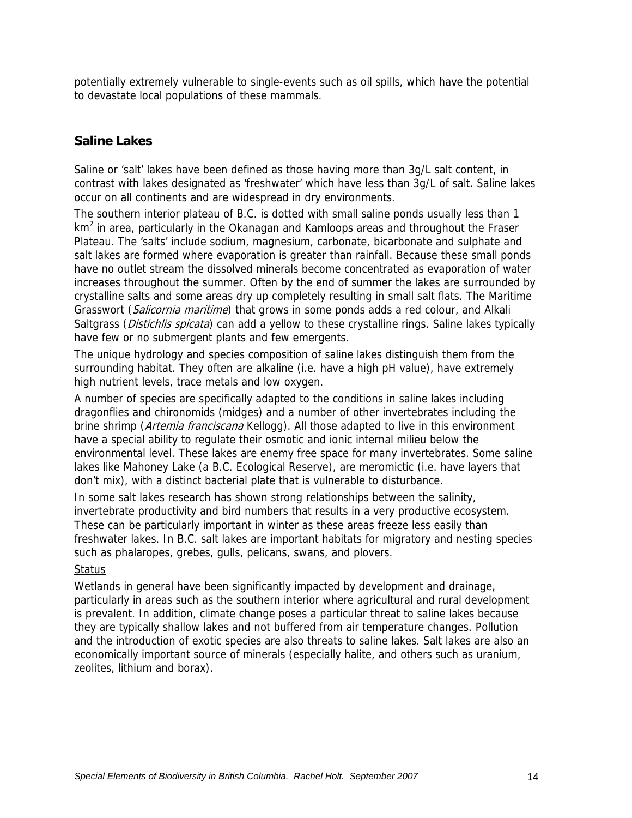potentially extremely vulnerable to single-events such as oil spills, which have the potential to devastate local populations of these mammals.

#### **Saline Lakes**

Saline or 'salt' lakes have been defined as those having more than 3g/L salt content, in contrast with lakes designated as 'freshwater' which have less than 3g/L of salt. Saline lakes occur on all continents and are widespread in dry environments.

The southern interior plateau of B.C. is dotted with small saline ponds usually less than 1 km<sup>2</sup> in area, particularly in the Okanagan and Kamloops areas and throughout the Fraser Plateau. The 'salts' include sodium, magnesium, carbonate, bicarbonate and sulphate and salt lakes are formed where evaporation is greater than rainfall. Because these small ponds have no outlet stream the dissolved minerals become concentrated as evaporation of water increases throughout the summer. Often by the end of summer the lakes are surrounded by crystalline salts and some areas dry up completely resulting in small salt flats. The Maritime Grasswort (Salicornia maritime) that grows in some ponds adds a red colour, and Alkali Saltgrass (Distichlis spicata) can add a yellow to these crystalline rings. Saline lakes typically have few or no submergent plants and few emergents.

The unique hydrology and species composition of saline lakes distinguish them from the surrounding habitat. They often are alkaline (i.e. have a high pH value), have extremely high nutrient levels, trace metals and low oxygen.

A number of species are specifically adapted to the conditions in saline lakes including dragonflies and chironomids (midges) and a number of other invertebrates including the brine shrimp (Artemia franciscana Kellogg). All those adapted to live in this environment have a special ability to regulate their osmotic and ionic internal milieu below the environmental level. These lakes are enemy free space for many invertebrates. Some saline lakes like Mahoney Lake (a B.C. Ecological Reserve), are meromictic (i.e. have layers that don't mix), with a distinct bacterial plate that is vulnerable to disturbance.

In some salt lakes research has shown strong relationships between the salinity, invertebrate productivity and bird numbers that results in a very productive ecosystem. These can be particularly important in winter as these areas freeze less easily than freshwater lakes. In B.C. salt lakes are important habitats for migratory and nesting species such as phalaropes, grebes, gulls, pelicans, swans, and plovers.

#### **Status**

Wetlands in general have been significantly impacted by development and drainage, particularly in areas such as the southern interior where agricultural and rural development is prevalent. In addition, climate change poses a particular threat to saline lakes because they are typically shallow lakes and not buffered from air temperature changes. Pollution and the introduction of exotic species are also threats to saline lakes. Salt lakes are also an economically important source of minerals (especially halite, and others such as uranium, zeolites, lithium and borax).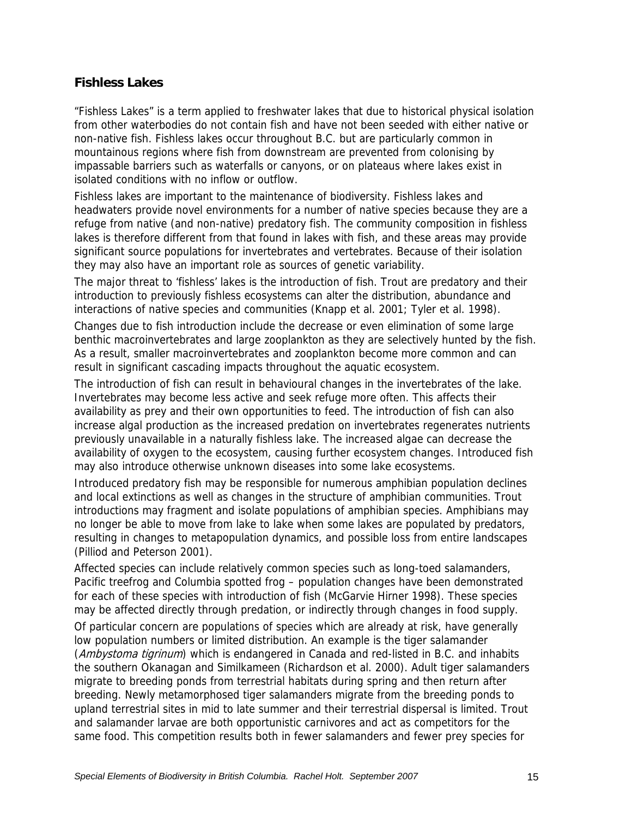#### **Fishless Lakes**

"Fishless Lakes" is a term applied to freshwater lakes that due to historical physical isolation from other waterbodies do not contain fish and have not been seeded with either native or non-native fish. Fishless lakes occur throughout B.C. but are particularly common in mountainous regions where fish from downstream are prevented from colonising by impassable barriers such as waterfalls or canyons, or on plateaus where lakes exist in isolated conditions with no inflow or outflow.

Fishless lakes are important to the maintenance of biodiversity. Fishless lakes and headwaters provide novel environments for a number of native species because they are a refuge from native (and non-native) predatory fish. The community composition in fishless lakes is therefore different from that found in lakes with fish, and these areas may provide significant source populations for invertebrates and vertebrates. Because of their isolation they may also have an important role as sources of genetic variability.

The major threat to 'fishless' lakes is the introduction of fish. Trout are predatory and their introduction to previously fishless ecosystems can alter the distribution, abundance and interactions of native species and communities (Knapp et al. 2001; Tyler et al. 1998).

Changes due to fish introduction include the decrease or even elimination of some large benthic macroinvertebrates and large zooplankton as they are selectively hunted by the fish. As a result, smaller macroinvertebrates and zooplankton become more common and can result in significant cascading impacts throughout the aquatic ecosystem.

The introduction of fish can result in behavioural changes in the invertebrates of the lake. Invertebrates may become less active and seek refuge more often. This affects their availability as prey and their own opportunities to feed. The introduction of fish can also increase algal production as the increased predation on invertebrates regenerates nutrients previously unavailable in a naturally fishless lake. The increased algae can decrease the availability of oxygen to the ecosystem, causing further ecosystem changes. Introduced fish may also introduce otherwise unknown diseases into some lake ecosystems.

Introduced predatory fish may be responsible for numerous amphibian population declines and local extinctions as well as changes in the structure of amphibian communities. Trout introductions may fragment and isolate populations of amphibian species. Amphibians may no longer be able to move from lake to lake when some lakes are populated by predators, resulting in changes to metapopulation dynamics, and possible loss from entire landscapes (Pilliod and Peterson 2001).

Affected species can include relatively common species such as long-toed salamanders, Pacific treefrog and Columbia spotted frog – population changes have been demonstrated for each of these species with introduction of fish (McGarvie Hirner 1998). These species may be affected directly through predation, or indirectly through changes in food supply.

Of particular concern are populations of species which are already at risk, have generally low population numbers or limited distribution. An example is the tiger salamander (Ambystoma tigrinum) which is endangered in Canada and red-listed in B.C. and inhabits the southern Okanagan and Similkameen (Richardson et al. 2000). Adult tiger salamanders migrate to breeding ponds from terrestrial habitats during spring and then return after breeding. Newly metamorphosed tiger salamanders migrate from the breeding ponds to upland terrestrial sites in mid to late summer and their terrestrial dispersal is limited. Trout and salamander larvae are both opportunistic carnivores and act as competitors for the same food. This competition results both in fewer salamanders and fewer prey species for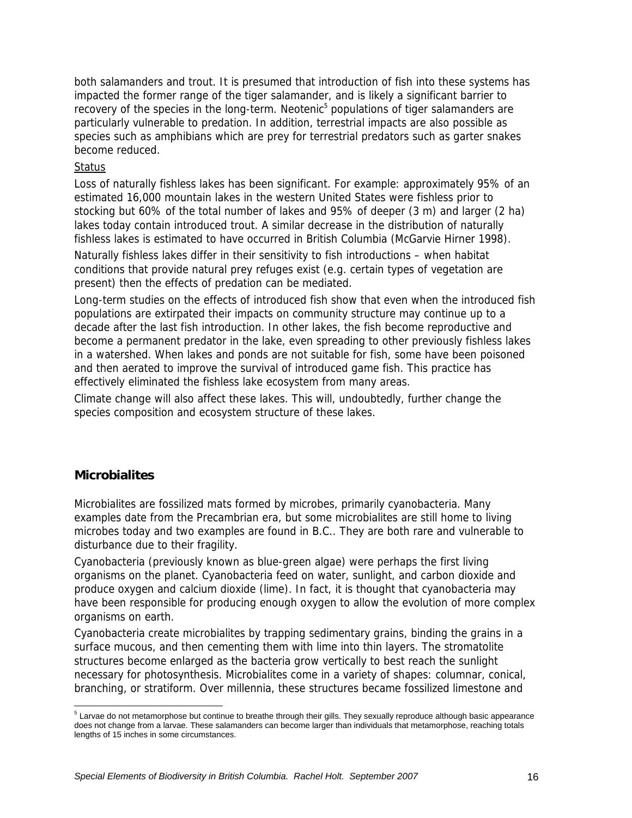both salamanders and trout. It is presumed that introduction of fish into these systems has impacted the former range of the tiger salamander, and is likely a significant barrier to recovery of the species in the long-term. Neotenic<sup>5</sup> populations of tiger salamanders are particularly vulnerable to predation. In addition, terrestrial impacts are also possible as species such as amphibians which are prey for terrestrial predators such as garter snakes become reduced.

#### **Status**

Loss of naturally fishless lakes has been significant. For example: approximately 95% of an estimated 16,000 mountain lakes in the western United States were fishless prior to stocking but 60% of the total number of lakes and 95% of deeper (3 m) and larger (2 ha) lakes today contain introduced trout. A similar decrease in the distribution of naturally fishless lakes is estimated to have occurred in British Columbia (McGarvie Hirner 1998).

Naturally fishless lakes differ in their sensitivity to fish introductions – when habitat conditions that provide natural prey refuges exist (e.g. certain types of vegetation are present) then the effects of predation can be mediated.

Long-term studies on the effects of introduced fish show that even when the introduced fish populations are extirpated their impacts on community structure may continue up to a decade after the last fish introduction. In other lakes, the fish become reproductive and become a permanent predator in the lake, even spreading to other previously fishless lakes in a watershed. When lakes and ponds are not suitable for fish, some have been poisoned and then aerated to improve the survival of introduced game fish. This practice has effectively eliminated the fishless lake ecosystem from many areas.

Climate change will also affect these lakes. This will, undoubtedly, further change the species composition and ecosystem structure of these lakes.

#### **Microbialites**

Microbialites are fossilized mats formed by microbes, primarily cyanobacteria. Many examples date from the Precambrian era, but some microbialites are still home to living microbes today and two examples are found in B.C.. They are both rare and vulnerable to disturbance due to their fragility.

Cyanobacteria (previously known as blue-green algae) were perhaps the first living organisms on the planet. Cyanobacteria feed on water, sunlight, and carbon dioxide and produce oxygen and calcium dioxide (lime). In fact, it is thought that cyanobacteria may have been responsible for producing enough oxygen to allow the evolution of more complex organisms on earth.

Cyanobacteria create microbialites by trapping sedimentary grains, binding the grains in a surface mucous, and then cementing them with lime into thin layers. The stromatolite structures become enlarged as the bacteria grow vertically to best reach the sunlight necessary for photosynthesis. Microbialites come in a variety of shapes: columnar, conical, branching, or stratiform. Over millennia, these structures became fossilized limestone and

 5 Larvae do not metamorphose but continue to breathe through their gills. They sexually reproduce although basic appearance does not change from a larvae. These salamanders can become larger than individuals that metamorphose, reaching totals lengths of 15 inches in some circumstances.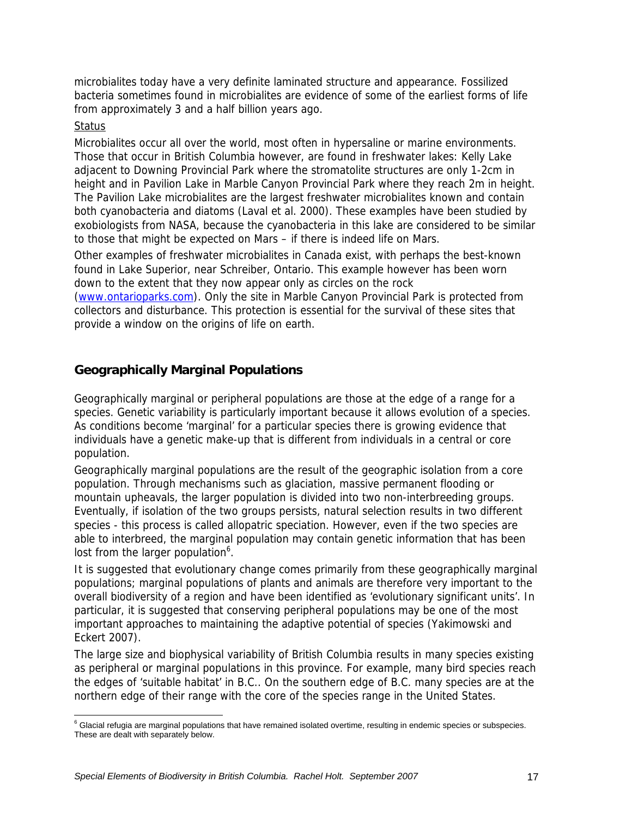microbialites today have a very definite laminated structure and appearance. Fossilized bacteria sometimes found in microbialites are evidence of some of the earliest forms of life from approximately 3 and a half billion years ago.

#### **Status**

Microbialites occur all over the world, most often in hypersaline or marine environments. Those that occur in British Columbia however, are found in freshwater lakes: Kelly Lake adjacent to Downing Provincial Park where the stromatolite structures are only 1-2cm in height and in Pavilion Lake in Marble Canyon Provincial Park where they reach 2m in height. The Pavilion Lake microbialites are the largest freshwater microbialites known and contain both cyanobacteria and diatoms (Laval et al. 2000). These examples have been studied by exobiologists from NASA, because the cyanobacteria in this lake are considered to be similar to those that might be expected on Mars – if there is indeed life on Mars.

Other examples of freshwater microbialites in Canada exist, with perhaps the best-known found in Lake Superior, near Schreiber, Ontario. This example however has been worn down to the extent that they now appear only as circles on the rock

(www.ontarioparks.com). Only the site in Marble Canyon Provincial Park is protected from collectors and disturbance. This protection is essential for the survival of these sites that provide a window on the origins of life on earth.

## **Geographically Marginal Populations**

Geographically marginal or peripheral populations are those at the edge of a range for a species. Genetic variability is particularly important because it allows evolution of a species. As conditions become 'marginal' for a particular species there is growing evidence that individuals have a genetic make-up that is different from individuals in a central or core population.

Geographically marginal populations are the result of the geographic isolation from a core population. Through mechanisms such as glaciation, massive permanent flooding or mountain upheavals, the larger population is divided into two non-interbreeding groups. Eventually, if isolation of the two groups persists, natural selection results in two different species - this process is called allopatric speciation. However, even if the two species are able to interbreed, the marginal population may contain genetic information that has been lost from the larger population<sup>6</sup>.

It is suggested that evolutionary change comes primarily from these geographically marginal populations; marginal populations of plants and animals are therefore very important to the overall biodiversity of a region and have been identified as 'evolutionary significant units'. In particular, it is suggested that conserving peripheral populations may be one of the most important approaches to maintaining the adaptive potential of species (Yakimowski and Eckert 2007).

The large size and biophysical variability of British Columbia results in many species existing as peripheral or marginal populations in this province. For example, many bird species reach the edges of 'suitable habitat' in B.C.. On the southern edge of B.C. many species are at the northern edge of their range with the core of the species range in the United States.

 $\overline{a}$ <sup>6</sup> Glacial refugia are marginal populations that have remained isolated overtime, resulting in endemic species or subspecies. These are dealt with separately below.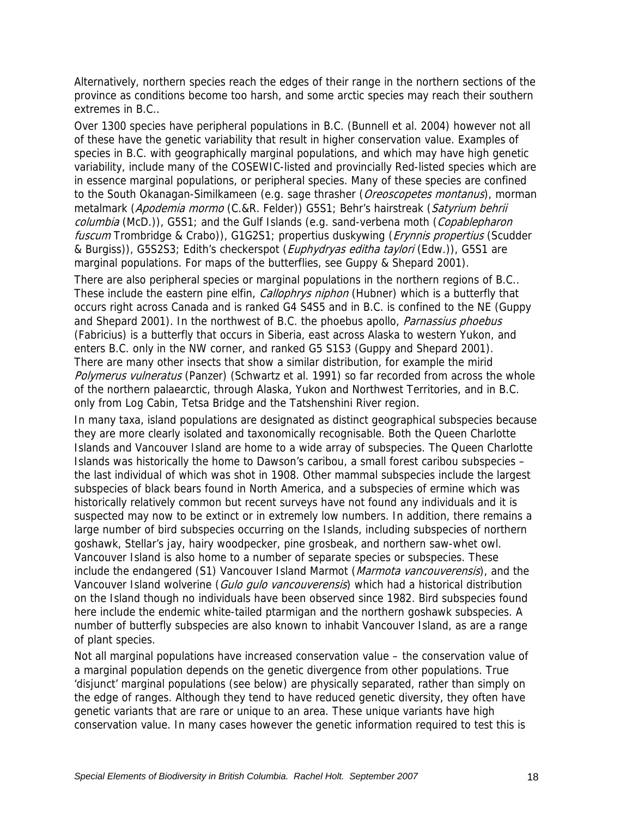Alternatively, northern species reach the edges of their range in the northern sections of the province as conditions become too harsh, and some arctic species may reach their southern extremes in B.C..

Over 1300 species have peripheral populations in B.C. (Bunnell et al. 2004) however not all of these have the genetic variability that result in higher conservation value. Examples of species in B.C. with geographically marginal populations, and which may have high genetic variability, include many of the COSEWIC-listed and provincially Red-listed species which are in essence marginal populations, or peripheral species. Many of these species are confined to the South Okanagan-Similkameen (e.g. sage thrasher (Oreoscopetes montanus), morman metalmark (Apodemia mormo (C.&R. Felder)) G5S1; Behr's hairstreak (Satyrium behrii columbia (McD.)), G5S1; and the Gulf Islands (e.g. sand-verbena moth (Copablepharon fuscum Trombridge & Crabo)), G1G2S1; propertius duskywing (*Erynnis propertius* (Scudder & Burgiss)), G5S2S3; Edith's checkerspot (Euphydryas editha taylori (Edw.)), G5S1 are marginal populations. For maps of the butterflies, see Guppy & Shepard 2001).

There are also peripheral species or marginal populations in the northern regions of B.C.. These include the eastern pine elfin, *Callophrys niphon* (Hubner) which is a butterfly that occurs right across Canada and is ranked G4 S4S5 and in B.C. is confined to the NE (Guppy and Shepard 2001). In the northwest of B.C. the phoebus apollo, *Parnassius phoebus* (Fabricius) is a butterfly that occurs in Siberia, east across Alaska to western Yukon, and enters B.C. only in the NW corner, and ranked G5 S1S3 (Guppy and Shepard 2001). There are many other insects that show a similar distribution, for example the mirid Polymerus vulneratus (Panzer) (Schwartz et al. 1991) so far recorded from across the whole of the northern palaearctic, through Alaska, Yukon and Northwest Territories, and in B.C. only from Log Cabin, Tetsa Bridge and the Tatshenshini River region.

In many taxa, island populations are designated as distinct geographical subspecies because they are more clearly isolated and taxonomically recognisable. Both the Queen Charlotte Islands and Vancouver Island are home to a wide array of subspecies. The Queen Charlotte Islands was historically the home to Dawson's caribou, a small forest caribou subspecies – the last individual of which was shot in 1908. Other mammal subspecies include the largest subspecies of black bears found in North America, and a subspecies of ermine which was historically relatively common but recent surveys have not found any individuals and it is suspected may now to be extinct or in extremely low numbers. In addition, there remains a large number of bird subspecies occurring on the Islands, including subspecies of northern goshawk, Stellar's jay, hairy woodpecker, pine grosbeak, and northern saw-whet owl. Vancouver Island is also home to a number of separate species or subspecies. These include the endangered (S1) Vancouver Island Marmot (Marmota vancouverensis), and the Vancouver Island wolverine (Gulo gulo vancouverensis) which had a historical distribution on the Island though no individuals have been observed since 1982. Bird subspecies found here include the endemic white-tailed ptarmigan and the northern goshawk subspecies. A number of butterfly subspecies are also known to inhabit Vancouver Island, as are a range of plant species.

Not all marginal populations have increased conservation value – the conservation value of a marginal population depends on the genetic divergence from other populations. True 'disjunct' marginal populations (see below) are physically separated, rather than simply on the edge of ranges. Although they tend to have reduced genetic diversity, they often have genetic variants that are rare or unique to an area. These unique variants have high conservation value. In many cases however the genetic information required to test this is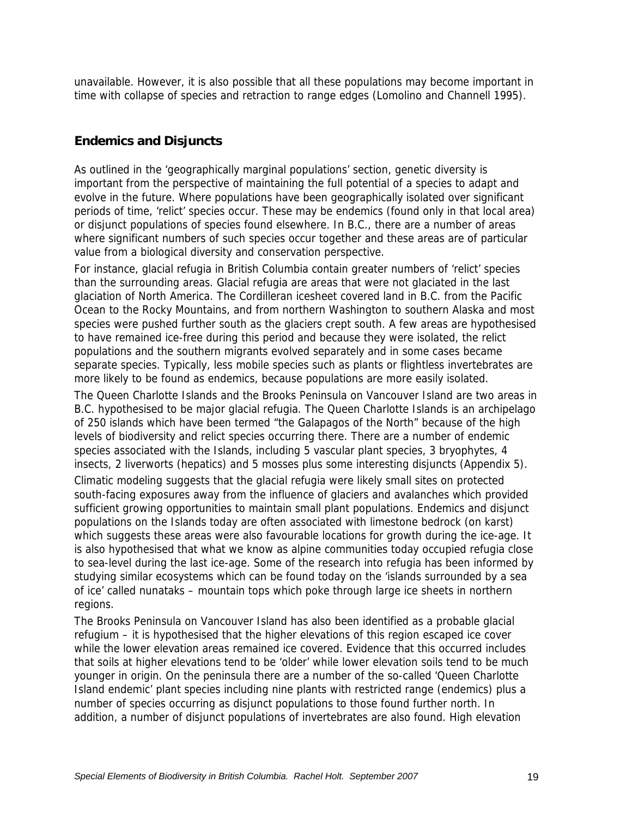unavailable. However, it is also possible that all these populations may become important in time with collapse of species and retraction to range edges (Lomolino and Channell 1995).

## **Endemics and Disjuncts**

As outlined in the 'geographically marginal populations' section, genetic diversity is important from the perspective of maintaining the full potential of a species to adapt and evolve in the future. Where populations have been geographically isolated over significant periods of time, 'relict' species occur. These may be endemics (found only in that local area) or disjunct populations of species found elsewhere. In B.C., there are a number of areas where significant numbers of such species occur together and these areas are of particular value from a biological diversity and conservation perspective.

For instance, glacial refugia in British Columbia contain greater numbers of 'relict' species than the surrounding areas. Glacial refugia are areas that were not glaciated in the last glaciation of North America. The Cordilleran icesheet covered land in B.C. from the Pacific Ocean to the Rocky Mountains, and from northern Washington to southern Alaska and most species were pushed further south as the glaciers crept south. A few areas are hypothesised to have remained ice-free during this period and because they were isolated, the relict populations and the southern migrants evolved separately and in some cases became separate species. Typically, less mobile species such as plants or flightless invertebrates are more likely to be found as endemics, because populations are more easily isolated.

The Queen Charlotte Islands and the Brooks Peninsula on Vancouver Island are two areas in B.C. hypothesised to be major glacial refugia. The Queen Charlotte Islands is an archipelago of 250 islands which have been termed "the Galapagos of the North" because of the high levels of biodiversity and relict species occurring there. There are a number of endemic species associated with the Islands, including 5 vascular plant species, 3 bryophytes, 4 insects, 2 liverworts (hepatics) and 5 mosses plus some interesting disjuncts (Appendix 5).

Climatic modeling suggests that the glacial refugia were likely small sites on protected south-facing exposures away from the influence of glaciers and avalanches which provided sufficient growing opportunities to maintain small plant populations. Endemics and disjunct populations on the Islands today are often associated with limestone bedrock (on karst) which suggests these areas were also favourable locations for growth during the ice-age. It is also hypothesised that what we know as alpine communities today occupied refugia close to sea-level during the last ice-age. Some of the research into refugia has been informed by studying similar ecosystems which can be found today on the 'islands surrounded by a sea of ice' called nunataks – mountain tops which poke through large ice sheets in northern regions.

The Brooks Peninsula on Vancouver Island has also been identified as a probable glacial refugium – it is hypothesised that the higher elevations of this region escaped ice cover while the lower elevation areas remained ice covered. Evidence that this occurred includes that soils at higher elevations tend to be 'older' while lower elevation soils tend to be much younger in origin. On the peninsula there are a number of the so-called 'Queen Charlotte Island endemic' plant species including nine plants with restricted range (endemics) plus a number of species occurring as disjunct populations to those found further north. In addition, a number of disjunct populations of invertebrates are also found. High elevation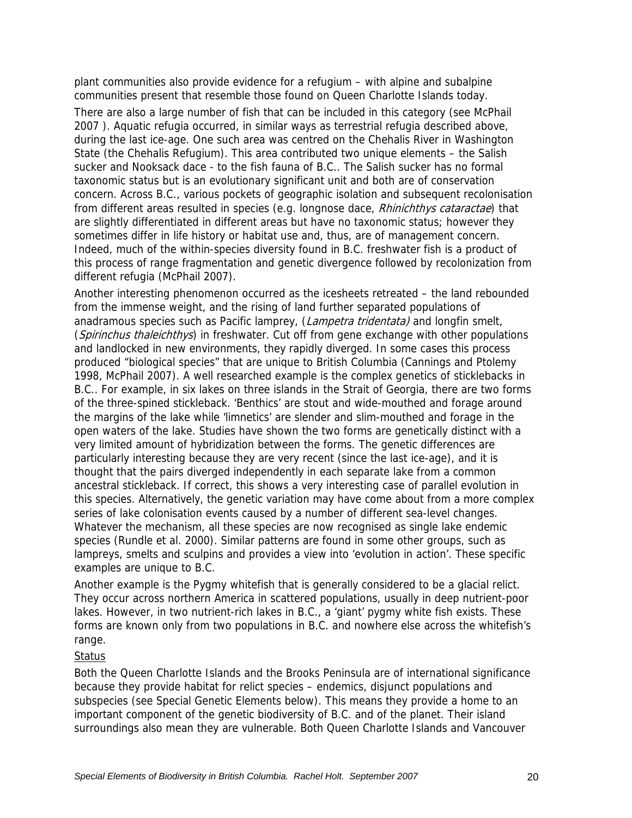plant communities also provide evidence for a refugium – with alpine and subalpine communities present that resemble those found on Queen Charlotte Islands today.

There are also a large number of fish that can be included in this category (see McPhail 2007 ). Aquatic refugia occurred, in similar ways as terrestrial refugia described above, during the last ice-age. One such area was centred on the Chehalis River in Washington State (the Chehalis Refugium). This area contributed two unique elements – the Salish sucker and Nooksack dace - to the fish fauna of B.C.. The Salish sucker has no formal taxonomic status but is an evolutionary significant unit and both are of conservation concern. Across B.C., various pockets of geographic isolation and subsequent recolonisation from different areas resulted in species (e.g. longnose dace, Rhinichthys cataractae) that are slightly differentiated in different areas but have no taxonomic status; however they sometimes differ in life history or habitat use and, thus, are of management concern. Indeed, much of the within-species diversity found in B.C. freshwater fish is a product of this process of range fragmentation and genetic divergence followed by recolonization from different refugia (McPhail 2007).

Another interesting phenomenon occurred as the icesheets retreated – the land rebounded from the immense weight, and the rising of land further separated populations of anadramous species such as Pacific lamprey, (Lampetra tridentata) and longfin smelt, (Spirinchus thaleichthys) in freshwater. Cut off from gene exchange with other populations and landlocked in new environments, they rapidly diverged. In some cases this process produced "biological species" that are unique to British Columbia (Cannings and Ptolemy 1998, McPhail 2007). A well researched example is the complex genetics of sticklebacks in B.C.. For example, in six lakes on three islands in the Strait of Georgia, there are two forms of the three-spined stickleback. 'Benthics' are stout and wide-mouthed and forage around the margins of the lake while 'limnetics' are slender and slim-mouthed and forage in the open waters of the lake. Studies have shown the two forms are genetically distinct with a very limited amount of hybridization between the forms. The genetic differences are particularly interesting because they are very recent (since the last ice-age), and it is thought that the pairs diverged independently in each separate lake from a common ancestral stickleback. If correct, this shows a very interesting case of parallel evolution in this species. Alternatively, the genetic variation may have come about from a more complex series of lake colonisation events caused by a number of different sea-level changes. Whatever the mechanism, all these species are now recognised as single lake endemic species (Rundle et al. 2000). Similar patterns are found in some other groups, such as lampreys, smelts and sculpins and provides a view into 'evolution in action'. These specific examples are unique to B.C.

Another example is the Pygmy whitefish that is generally considered to be a glacial relict. They occur across northern America in scattered populations, usually in deep nutrient-poor lakes. However, in two nutrient-rich lakes in B.C., a 'giant' pygmy white fish exists. These forms are known only from two populations in B.C. and nowhere else across the whitefish's range.

#### **Status**

Both the Queen Charlotte Islands and the Brooks Peninsula are of international significance because they provide habitat for relict species – endemics, disjunct populations and subspecies (see Special Genetic Elements below). This means they provide a home to an important component of the genetic biodiversity of B.C. and of the planet. Their island surroundings also mean they are vulnerable. Both Queen Charlotte Islands and Vancouver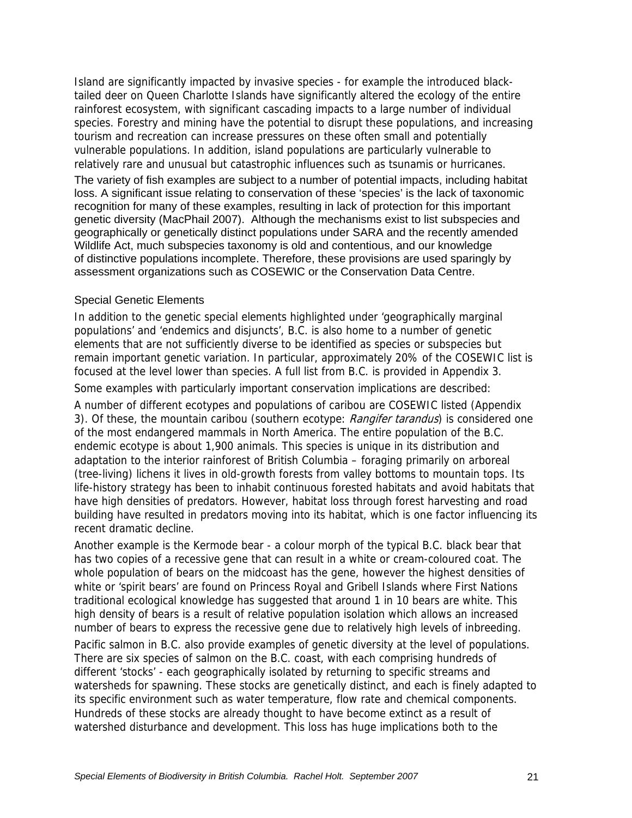Island are significantly impacted by invasive species - for example the introduced blacktailed deer on Queen Charlotte Islands have significantly altered the ecology of the entire rainforest ecosystem, with significant cascading impacts to a large number of individual species. Forestry and mining have the potential to disrupt these populations, and increasing tourism and recreation can increase pressures on these often small and potentially vulnerable populations. In addition, island populations are particularly vulnerable to relatively rare and unusual but catastrophic influences such as tsunamis or hurricanes.

The variety of fish examples are subject to a number of potential impacts, including habitat loss. A significant issue relating to conservation of these 'species' is the lack of taxonomic recognition for many of these examples, resulting in lack of protection for this important genetic diversity (MacPhail 2007). Although the mechanisms exist to list subspecies and geographically or genetically distinct populations under SARA and the recently amended Wildlife Act, much subspecies taxonomy is old and contentious, and our knowledge of distinctive populations incomplete. Therefore, these provisions are used sparingly by assessment organizations such as COSEWIC or the Conservation Data Centre.

#### Special Genetic Elements

In addition to the genetic special elements highlighted under 'geographically marginal populations' and 'endemics and disjuncts', B.C. is also home to a number of genetic elements that are not sufficiently diverse to be identified as species or subspecies but remain important genetic variation. In particular, approximately 20% of the COSEWIC list is focused at the level lower than species. A full list from B.C. is provided in Appendix 3.

Some examples with particularly important conservation implications are described:

A number of different ecotypes and populations of caribou are COSEWIC listed (Appendix 3). Of these, the mountain caribou (southern ecotype: Rangifer tarandus) is considered one of the most endangered mammals in North America. The entire population of the B.C. endemic ecotype is about 1,900 animals. This species is unique in its distribution and adaptation to the interior rainforest of British Columbia – foraging primarily on arboreal (tree-living) lichens it lives in old-growth forests from valley bottoms to mountain tops. Its life-history strategy has been to inhabit continuous forested habitats and avoid habitats that have high densities of predators. However, habitat loss through forest harvesting and road building have resulted in predators moving into its habitat, which is one factor influencing its recent dramatic decline.

Another example is the Kermode bear - a colour morph of the typical B.C. black bear that has two copies of a recessive gene that can result in a white or cream-coloured coat. The whole population of bears on the midcoast has the gene, however the highest densities of white or 'spirit bears' are found on Princess Royal and Gribell Islands where First Nations traditional ecological knowledge has suggested that around 1 in 10 bears are white. This high density of bears is a result of relative population isolation which allows an increased number of bears to express the recessive gene due to relatively high levels of inbreeding. Pacific salmon in B.C. also provide examples of genetic diversity at the level of populations.

There are six species of salmon on the B.C. coast, with each comprising hundreds of different 'stocks' - each geographically isolated by returning to specific streams and watersheds for spawning. These stocks are genetically distinct, and each is finely adapted to its specific environment such as water temperature, flow rate and chemical components. Hundreds of these stocks are already thought to have become extinct as a result of watershed disturbance and development. This loss has huge implications both to the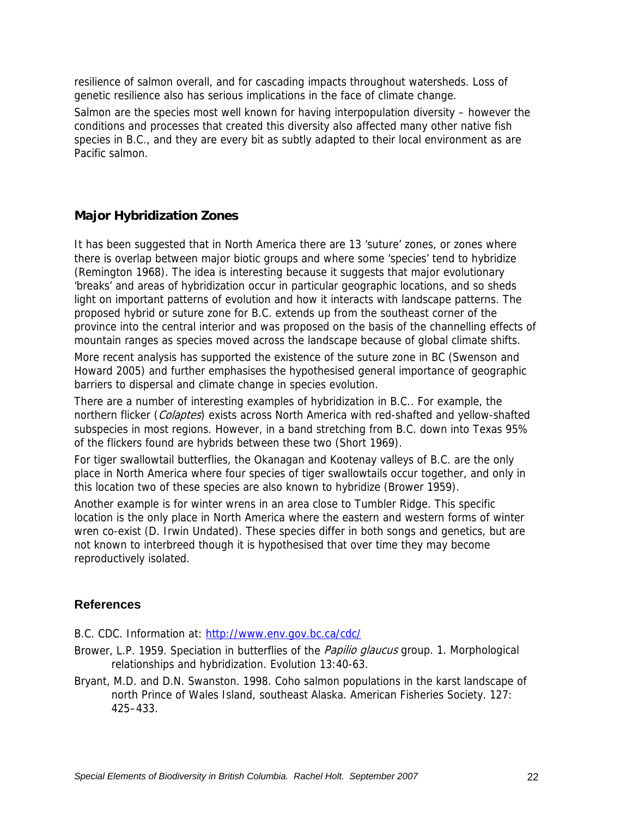resilience of salmon overall, and for cascading impacts throughout watersheds. Loss of genetic resilience also has serious implications in the face of climate change.

Salmon are the species most well known for having interpopulation diversity – however the conditions and processes that created this diversity also affected many other native fish species in B.C., and they are every bit as subtly adapted to their local environment as are Pacific salmon.

#### **Major Hybridization Zones**

It has been suggested that in North America there are 13 'suture' zones, or zones where there is overlap between major biotic groups and where some 'species' tend to hybridize (Remington 1968). The idea is interesting because it suggests that major evolutionary 'breaks' and areas of hybridization occur in particular geographic locations, and so sheds light on important patterns of evolution and how it interacts with landscape patterns. The proposed hybrid or suture zone for B.C. extends up from the southeast corner of the province into the central interior and was proposed on the basis of the channelling effects of mountain ranges as species moved across the landscape because of global climate shifts.

More recent analysis has supported the existence of the suture zone in BC (Swenson and Howard 2005) and further emphasises the hypothesised general importance of geographic barriers to dispersal and climate change in species evolution.

There are a number of interesting examples of hybridization in B.C.. For example, the northern flicker (Colaptes) exists across North America with red-shafted and yellow-shafted subspecies in most regions. However, in a band stretching from B.C. down into Texas 95% of the flickers found are hybrids between these two (Short 1969).

For tiger swallowtail butterflies, the Okanagan and Kootenay valleys of B.C. are the only place in North America where four species of tiger swallowtails occur together, and only in this location two of these species are also known to hybridize (Brower 1959).

Another example is for winter wrens in an area close to Tumbler Ridge. This specific location is the only place in North America where the eastern and western forms of winter wren co-exist (D. Irwin Undated). These species differ in both songs and genetics, but are not known to interbreed though it is hypothesised that over time they may become reproductively isolated.

#### **References**

B.C. CDC. Information at: http://www.env.gov.bc.ca/cdc/

- Brower, L.P. 1959. Speciation in butterflies of the *Papilio glaucus* group. 1. Morphological relationships and hybridization. Evolution 13:40-63.
- Bryant, M.D. and D.N. Swanston. 1998. Coho salmon populations in the karst landscape of north Prince of Wales Island, southeast Alaska. American Fisheries Society. 127: 425–433.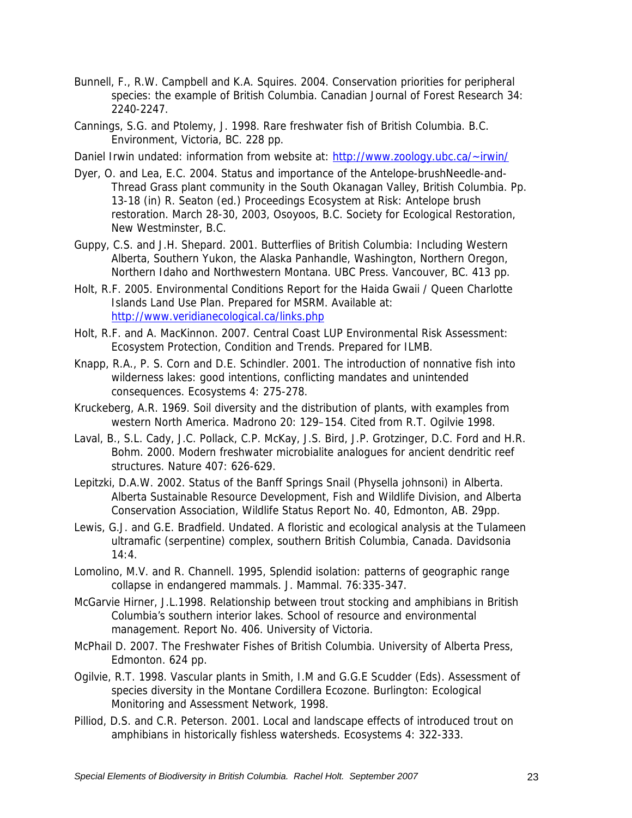- Bunnell, F., R.W. Campbell and K.A. Squires. 2004. Conservation priorities for peripheral species: the example of British Columbia. Canadian Journal of Forest Research 34: 2240-2247.
- Cannings, S.G. and Ptolemy, J. 1998. Rare freshwater fish of British Columbia. B.C. Environment, Victoria, BC. 228 pp.
- Daniel Irwin undated: information from website at: http://www.zoology.ubc.ca/~irwin/
- Dyer, O. and Lea, E.C. 2004. Status and importance of the Antelope-brushNeedle-and-Thread Grass plant community in the South Okanagan Valley, British Columbia. Pp. 13-18 (in) R. Seaton (ed.) Proceedings Ecosystem at Risk: Antelope brush restoration. March 28-30, 2003, Osoyoos, B.C. Society for Ecological Restoration, New Westminster, B.C.
- Guppy, C.S. and J.H. Shepard. 2001. Butterflies of British Columbia: Including Western Alberta, Southern Yukon, the Alaska Panhandle, Washington, Northern Oregon, Northern Idaho and Northwestern Montana. UBC Press. Vancouver, BC. 413 pp.
- Holt, R.F. 2005. Environmental Conditions Report for the Haida Gwaii / Queen Charlotte Islands Land Use Plan. Prepared for MSRM. Available at: http://www.veridianecological.ca/links.php
- Holt, R.F. and A. MacKinnon. 2007. Central Coast LUP Environmental Risk Assessment: Ecosystem Protection, Condition and Trends. Prepared for ILMB.
- Knapp, R.A., P. S. Corn and D.E. Schindler. 2001. The introduction of nonnative fish into wilderness lakes: good intentions, conflicting mandates and unintended consequences. Ecosystems 4: 275-278.
- Kruckeberg, A.R. 1969. Soil diversity and the distribution of plants, with examples from western North America. Madrono 20: 129–154. Cited from R.T. Ogilvie 1998.
- Laval, B., S.L. Cady, J.C. Pollack, C.P. McKay, J.S. Bird, J.P. Grotzinger, D.C. Ford and H.R. Bohm. 2000. Modern freshwater microbialite analogues for ancient dendritic reef structures. Nature 407: 626-629.
- Lepitzki, D.A.W. 2002. Status of the Banff Springs Snail (Physella johnsoni) in Alberta. Alberta Sustainable Resource Development, Fish and Wildlife Division, and Alberta Conservation Association, Wildlife Status Report No. 40, Edmonton, AB. 29pp.
- Lewis, G.J. and G.E. Bradfield. Undated. A floristic and ecological analysis at the Tulameen ultramafic (serpentine) complex, southern British Columbia, Canada. Davidsonia 14:4.
- Lomolino, M.V. and R. Channell. 1995, Splendid isolation: patterns of geographic range collapse in endangered mammals. J. Mammal. 76:335-347.
- McGarvie Hirner, J.L.1998. Relationship between trout stocking and amphibians in British Columbia's southern interior lakes. School of resource and environmental management. Report No. 406. University of Victoria.
- McPhail D. 2007. The Freshwater Fishes of British Columbia. University of Alberta Press, Edmonton. 624 pp.
- Ogilvie, R.T. 1998. Vascular plants in Smith, I.M and G.G.E Scudder (Eds). Assessment of species diversity in the Montane Cordillera Ecozone. Burlington: Ecological Monitoring and Assessment Network, 1998.
- Pilliod, D.S. and C.R. Peterson. 2001. Local and landscape effects of introduced trout on amphibians in historically fishless watersheds. Ecosystems 4: 322-333.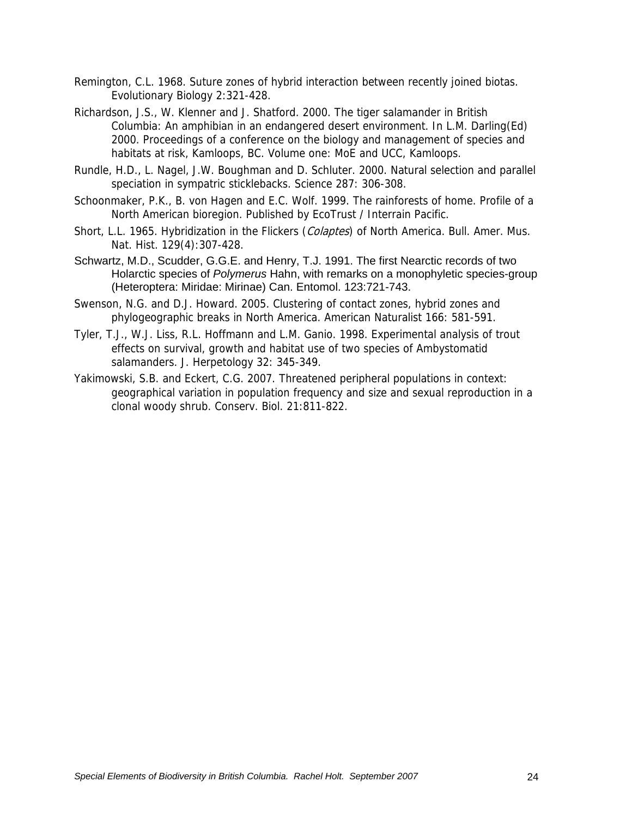- Remington, C.L. 1968. Suture zones of hybrid interaction between recently joined biotas. Evolutionary Biology 2:321-428.
- Richardson, J.S., W. Klenner and J. Shatford. 2000. The tiger salamander in British Columbia: An amphibian in an endangered desert environment. In L.M. Darling(Ed) 2000. Proceedings of a conference on the biology and management of species and habitats at risk, Kamloops, BC. Volume one: MoE and UCC, Kamloops.
- Rundle, H.D., L. Nagel, J.W. Boughman and D. Schluter. 2000. Natural selection and parallel speciation in sympatric sticklebacks. Science 287: 306-308.
- Schoonmaker, P.K., B. von Hagen and E.C. Wolf. 1999. The rainforests of home. Profile of a North American bioregion. Published by EcoTrust / Interrain Pacific.
- Short, L.L. 1965. Hybridization in the Flickers (*Colaptes*) of North America. Bull. Amer. Mus. Nat. Hist. 129(4):307-428.
- Schwartz, M.D., Scudder, G.G.E. and Henry, T.J. 1991. The first Nearctic records of two Holarctic species of *Polymerus* Hahn, with remarks on a monophyletic species-group (Heteroptera: Miridae: Mirinae) Can. Entomol. 123:721-743.
- Swenson, N.G. and D.J. Howard. 2005. Clustering of contact zones, hybrid zones and phylogeographic breaks in North America. American Naturalist 166: 581-591.
- Tyler, T.J., W.J. Liss, R.L. Hoffmann and L.M. Ganio. 1998. Experimental analysis of trout effects on survival, growth and habitat use of two species of Ambystomatid salamanders. J. Herpetology 32: 345-349.
- Yakimowski, S.B. and Eckert, C.G. 2007. Threatened peripheral populations in context: geographical variation in population frequency and size and sexual reproduction in a clonal woody shrub. Conserv. Biol. 21:811-822.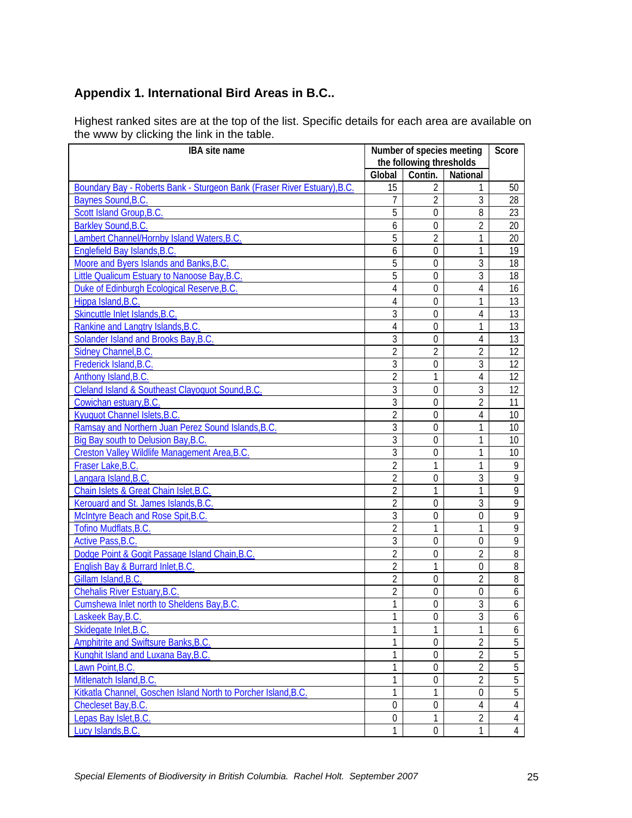# **Appendix 1. International Bird Areas in B.C..**

Highest ranked sites are at the top of the list. Specific details for each area are available on the www by clicking the link in the table.

| Global<br>Contin.<br>National<br>15<br>Boundary Bay - Roberts Bank - Sturgeon Bank (Fraser River Estuary), B.C.<br>$\overline{2}$<br>50<br>$\overline{2}$<br>Baynes Sound, B.C.<br>3<br>7<br>28<br>Scott Island Group, B.C.<br>5<br>$\mathbf 0$<br>8<br>23<br>Barkley Sound, B.C.<br>$\mathbf 0$<br>2<br>20<br>6<br>Lambert Channel/Hornby Island Waters, B.C.<br>5<br>$\overline{2}$<br>1<br>20<br>Englefield Bay Islands, B.C.<br>6<br>1<br>19<br>0<br>5<br>Moore and Byers Islands and Banks, B.C.<br>3<br>$\mathbf 0$<br>18<br>5<br>Little Qualicum Estuary to Nanoose Bay, B.C.<br>3<br>$\mathbf 0$<br>18<br>Duke of Edinburgh Ecological Reserve, B.C.<br>4<br>4<br>$\boldsymbol{0}$<br>16<br>Hippa Island, B.C.<br>4<br>1<br>13<br>$\mathbf 0$<br>Skincuttle Inlet Islands, B.C.<br>3<br>$\overline{0}$<br>4<br>13<br>Rankine and Langtry Islands, B.C.<br>4<br>$\overline{0}$<br>1<br>13<br>3<br>Solander Island and Brooks Bay, B.C.<br>13<br>$\overline{0}$<br>4<br>Sidney Channel, B.C.<br>$\overline{2}$<br>$\overline{2}$<br>$\overline{2}$<br>12<br>$\overline{3}$<br>3<br>Frederick Island, B.C.<br>$\mathbf 0$<br>12<br>$\overline{2}$<br>Anthony Island, B.C.<br>1<br>12<br>$\overline{4}$<br>Cleland Island & Southeast Clayoquot Sound, B.C.<br>3<br>$\overline{3}$<br>$\overline{0}$<br>12<br>3<br>Cowichan estuary, B.C.<br>2<br>$\boldsymbol{0}$<br>11<br>$\overline{2}$<br>Kyuquot Channel Islets, B.C.<br>4<br>$\theta$<br>10 <sup>°</sup><br>3<br>Ramsay and Northern Juan Perez Sound Islands, B.C.<br>1<br>$\overline{0}$<br>10 <sup>1</sup><br>3<br>1<br>Big Bay south to Delusion Bay, B.C.<br>$\mathbf 0$<br>10 <sup>°</sup><br>3<br>1<br>Creston Valley Wildlife Management Area, B.C.<br>$\mathbf 0$<br>10 <sup>°</sup><br>$\overline{2}$<br>$\mathbf{1}$<br>Fraser Lake, B.C.<br>1<br>9<br>$\overline{2}$<br>3<br>$\mathbf 0$<br>9<br>Langara Island, B.C.<br>$\overline{2}$<br>1<br>9<br>1<br>Chain Islets & Great Chain Islet, B.C.<br>$\overline{2}$<br>3<br>$\overline{0}$<br>9<br>Kerouard and St. James Islands, B.C.<br>$\overline{3}$<br>$\mathbf 0$<br>9<br>$\theta$<br>McIntyre Beach and Rose Spit, B.C.<br>$\overline{2}$<br>1<br>Tofino Mudflats, B.C.<br>1<br>9<br>3<br>Active Pass, B.C.<br>9<br>$\boldsymbol{0}$<br>0<br>$\overline{2}$<br>Dodge Point & Gogit Passage Island Chain, B.C.<br>2<br>8<br>$\boldsymbol{0}$<br>English Bay & Burrard Inlet, B.C.<br>2<br>1<br>8<br>0<br>Gillam Island, B.C.<br>$\overline{2}$<br>$\overline{2}$<br>$\boldsymbol{0}$<br>8<br>$\overline{2}$<br><b>Chehalis River Estuary, B.C.</b><br>$\boldsymbol{0}$<br>0<br>6<br>1<br>ς<br>$\boldsymbol{0}$<br>Cumshewa Inlet north to Sheldens Bay, B.C.<br>6<br>3<br>1<br>Laskeek Bay, B.C.<br>$\mathbf 0$<br>6<br>Skidegate Inlet, B.C.<br>1<br>1<br>1<br>6<br>1<br>$\overline{2}$<br>Amphitrite and Swiftsure Banks, B.C.<br>5<br>$\mathbf 0$<br>$\overline{2}$<br>Kunghit Island and Luxana Bay, B.C.<br>1<br>5<br>$\boldsymbol{0}$<br>$\overline{2}$<br>1<br>5<br>Lawn Point, B.C.<br>$\mathbf 0$<br>$\overline{2}$<br>1<br>5<br>Mitlenatch Island, B.C.<br>$\boldsymbol{0}$<br>Kitkatla Channel, Goschen Island North to Porcher Island, B.C.<br>1<br>5<br>1<br>$\boldsymbol{0}$<br>$\mathbf 0$<br>$\boldsymbol{0}$<br>4<br>Checleset Bay, B.C.<br>$\overline{4}$<br>$\overline{2}$<br>Lepas Bay Islet, B.C.<br>$\mathbf 0$<br>1<br>$\overline{4}$<br>1<br>1<br>$\overline{4}$<br>Lucy Islands, B.C.<br>$\mathbf 0$ | <b>IBA</b> site name |                          | Number of species meeting |  |  |
|-----------------------------------------------------------------------------------------------------------------------------------------------------------------------------------------------------------------------------------------------------------------------------------------------------------------------------------------------------------------------------------------------------------------------------------------------------------------------------------------------------------------------------------------------------------------------------------------------------------------------------------------------------------------------------------------------------------------------------------------------------------------------------------------------------------------------------------------------------------------------------------------------------------------------------------------------------------------------------------------------------------------------------------------------------------------------------------------------------------------------------------------------------------------------------------------------------------------------------------------------------------------------------------------------------------------------------------------------------------------------------------------------------------------------------------------------------------------------------------------------------------------------------------------------------------------------------------------------------------------------------------------------------------------------------------------------------------------------------------------------------------------------------------------------------------------------------------------------------------------------------------------------------------------------------------------------------------------------------------------------------------------------------------------------------------------------------------------------------------------------------------------------------------------------------------------------------------------------------------------------------------------------------------------------------------------------------------------------------------------------------------------------------------------------------------------------------------------------------------------------------------------------------------------------------------------------------------------------------------------------------------------------------------------------------------------------------------------------------------------------------------------------------------------------------------------------------------------------------------------------------------------------------------------------------------------------------------------------------------------------------------------------------------------------------------------------------------------------------------------------------------------------------------------------------------------------------------------------------------------------------------------------------------------------------------------------------------------------------------------------------------------------------------------------------------------------------------|----------------------|--------------------------|---------------------------|--|--|
|                                                                                                                                                                                                                                                                                                                                                                                                                                                                                                                                                                                                                                                                                                                                                                                                                                                                                                                                                                                                                                                                                                                                                                                                                                                                                                                                                                                                                                                                                                                                                                                                                                                                                                                                                                                                                                                                                                                                                                                                                                                                                                                                                                                                                                                                                                                                                                                                                                                                                                                                                                                                                                                                                                                                                                                                                                                                                                                                                                                                                                                                                                                                                                                                                                                                                                                                                                                                                                                           |                      | the following thresholds |                           |  |  |
|                                                                                                                                                                                                                                                                                                                                                                                                                                                                                                                                                                                                                                                                                                                                                                                                                                                                                                                                                                                                                                                                                                                                                                                                                                                                                                                                                                                                                                                                                                                                                                                                                                                                                                                                                                                                                                                                                                                                                                                                                                                                                                                                                                                                                                                                                                                                                                                                                                                                                                                                                                                                                                                                                                                                                                                                                                                                                                                                                                                                                                                                                                                                                                                                                                                                                                                                                                                                                                                           |                      |                          |                           |  |  |
|                                                                                                                                                                                                                                                                                                                                                                                                                                                                                                                                                                                                                                                                                                                                                                                                                                                                                                                                                                                                                                                                                                                                                                                                                                                                                                                                                                                                                                                                                                                                                                                                                                                                                                                                                                                                                                                                                                                                                                                                                                                                                                                                                                                                                                                                                                                                                                                                                                                                                                                                                                                                                                                                                                                                                                                                                                                                                                                                                                                                                                                                                                                                                                                                                                                                                                                                                                                                                                                           |                      |                          |                           |  |  |
|                                                                                                                                                                                                                                                                                                                                                                                                                                                                                                                                                                                                                                                                                                                                                                                                                                                                                                                                                                                                                                                                                                                                                                                                                                                                                                                                                                                                                                                                                                                                                                                                                                                                                                                                                                                                                                                                                                                                                                                                                                                                                                                                                                                                                                                                                                                                                                                                                                                                                                                                                                                                                                                                                                                                                                                                                                                                                                                                                                                                                                                                                                                                                                                                                                                                                                                                                                                                                                                           |                      |                          |                           |  |  |
|                                                                                                                                                                                                                                                                                                                                                                                                                                                                                                                                                                                                                                                                                                                                                                                                                                                                                                                                                                                                                                                                                                                                                                                                                                                                                                                                                                                                                                                                                                                                                                                                                                                                                                                                                                                                                                                                                                                                                                                                                                                                                                                                                                                                                                                                                                                                                                                                                                                                                                                                                                                                                                                                                                                                                                                                                                                                                                                                                                                                                                                                                                                                                                                                                                                                                                                                                                                                                                                           |                      |                          |                           |  |  |
|                                                                                                                                                                                                                                                                                                                                                                                                                                                                                                                                                                                                                                                                                                                                                                                                                                                                                                                                                                                                                                                                                                                                                                                                                                                                                                                                                                                                                                                                                                                                                                                                                                                                                                                                                                                                                                                                                                                                                                                                                                                                                                                                                                                                                                                                                                                                                                                                                                                                                                                                                                                                                                                                                                                                                                                                                                                                                                                                                                                                                                                                                                                                                                                                                                                                                                                                                                                                                                                           |                      |                          |                           |  |  |
|                                                                                                                                                                                                                                                                                                                                                                                                                                                                                                                                                                                                                                                                                                                                                                                                                                                                                                                                                                                                                                                                                                                                                                                                                                                                                                                                                                                                                                                                                                                                                                                                                                                                                                                                                                                                                                                                                                                                                                                                                                                                                                                                                                                                                                                                                                                                                                                                                                                                                                                                                                                                                                                                                                                                                                                                                                                                                                                                                                                                                                                                                                                                                                                                                                                                                                                                                                                                                                                           |                      |                          |                           |  |  |
|                                                                                                                                                                                                                                                                                                                                                                                                                                                                                                                                                                                                                                                                                                                                                                                                                                                                                                                                                                                                                                                                                                                                                                                                                                                                                                                                                                                                                                                                                                                                                                                                                                                                                                                                                                                                                                                                                                                                                                                                                                                                                                                                                                                                                                                                                                                                                                                                                                                                                                                                                                                                                                                                                                                                                                                                                                                                                                                                                                                                                                                                                                                                                                                                                                                                                                                                                                                                                                                           |                      |                          |                           |  |  |
|                                                                                                                                                                                                                                                                                                                                                                                                                                                                                                                                                                                                                                                                                                                                                                                                                                                                                                                                                                                                                                                                                                                                                                                                                                                                                                                                                                                                                                                                                                                                                                                                                                                                                                                                                                                                                                                                                                                                                                                                                                                                                                                                                                                                                                                                                                                                                                                                                                                                                                                                                                                                                                                                                                                                                                                                                                                                                                                                                                                                                                                                                                                                                                                                                                                                                                                                                                                                                                                           |                      |                          |                           |  |  |
|                                                                                                                                                                                                                                                                                                                                                                                                                                                                                                                                                                                                                                                                                                                                                                                                                                                                                                                                                                                                                                                                                                                                                                                                                                                                                                                                                                                                                                                                                                                                                                                                                                                                                                                                                                                                                                                                                                                                                                                                                                                                                                                                                                                                                                                                                                                                                                                                                                                                                                                                                                                                                                                                                                                                                                                                                                                                                                                                                                                                                                                                                                                                                                                                                                                                                                                                                                                                                                                           |                      |                          |                           |  |  |
|                                                                                                                                                                                                                                                                                                                                                                                                                                                                                                                                                                                                                                                                                                                                                                                                                                                                                                                                                                                                                                                                                                                                                                                                                                                                                                                                                                                                                                                                                                                                                                                                                                                                                                                                                                                                                                                                                                                                                                                                                                                                                                                                                                                                                                                                                                                                                                                                                                                                                                                                                                                                                                                                                                                                                                                                                                                                                                                                                                                                                                                                                                                                                                                                                                                                                                                                                                                                                                                           |                      |                          |                           |  |  |
|                                                                                                                                                                                                                                                                                                                                                                                                                                                                                                                                                                                                                                                                                                                                                                                                                                                                                                                                                                                                                                                                                                                                                                                                                                                                                                                                                                                                                                                                                                                                                                                                                                                                                                                                                                                                                                                                                                                                                                                                                                                                                                                                                                                                                                                                                                                                                                                                                                                                                                                                                                                                                                                                                                                                                                                                                                                                                                                                                                                                                                                                                                                                                                                                                                                                                                                                                                                                                                                           |                      |                          |                           |  |  |
|                                                                                                                                                                                                                                                                                                                                                                                                                                                                                                                                                                                                                                                                                                                                                                                                                                                                                                                                                                                                                                                                                                                                                                                                                                                                                                                                                                                                                                                                                                                                                                                                                                                                                                                                                                                                                                                                                                                                                                                                                                                                                                                                                                                                                                                                                                                                                                                                                                                                                                                                                                                                                                                                                                                                                                                                                                                                                                                                                                                                                                                                                                                                                                                                                                                                                                                                                                                                                                                           |                      |                          |                           |  |  |
|                                                                                                                                                                                                                                                                                                                                                                                                                                                                                                                                                                                                                                                                                                                                                                                                                                                                                                                                                                                                                                                                                                                                                                                                                                                                                                                                                                                                                                                                                                                                                                                                                                                                                                                                                                                                                                                                                                                                                                                                                                                                                                                                                                                                                                                                                                                                                                                                                                                                                                                                                                                                                                                                                                                                                                                                                                                                                                                                                                                                                                                                                                                                                                                                                                                                                                                                                                                                                                                           |                      |                          |                           |  |  |
|                                                                                                                                                                                                                                                                                                                                                                                                                                                                                                                                                                                                                                                                                                                                                                                                                                                                                                                                                                                                                                                                                                                                                                                                                                                                                                                                                                                                                                                                                                                                                                                                                                                                                                                                                                                                                                                                                                                                                                                                                                                                                                                                                                                                                                                                                                                                                                                                                                                                                                                                                                                                                                                                                                                                                                                                                                                                                                                                                                                                                                                                                                                                                                                                                                                                                                                                                                                                                                                           |                      |                          |                           |  |  |
|                                                                                                                                                                                                                                                                                                                                                                                                                                                                                                                                                                                                                                                                                                                                                                                                                                                                                                                                                                                                                                                                                                                                                                                                                                                                                                                                                                                                                                                                                                                                                                                                                                                                                                                                                                                                                                                                                                                                                                                                                                                                                                                                                                                                                                                                                                                                                                                                                                                                                                                                                                                                                                                                                                                                                                                                                                                                                                                                                                                                                                                                                                                                                                                                                                                                                                                                                                                                                                                           |                      |                          |                           |  |  |
|                                                                                                                                                                                                                                                                                                                                                                                                                                                                                                                                                                                                                                                                                                                                                                                                                                                                                                                                                                                                                                                                                                                                                                                                                                                                                                                                                                                                                                                                                                                                                                                                                                                                                                                                                                                                                                                                                                                                                                                                                                                                                                                                                                                                                                                                                                                                                                                                                                                                                                                                                                                                                                                                                                                                                                                                                                                                                                                                                                                                                                                                                                                                                                                                                                                                                                                                                                                                                                                           |                      |                          |                           |  |  |
|                                                                                                                                                                                                                                                                                                                                                                                                                                                                                                                                                                                                                                                                                                                                                                                                                                                                                                                                                                                                                                                                                                                                                                                                                                                                                                                                                                                                                                                                                                                                                                                                                                                                                                                                                                                                                                                                                                                                                                                                                                                                                                                                                                                                                                                                                                                                                                                                                                                                                                                                                                                                                                                                                                                                                                                                                                                                                                                                                                                                                                                                                                                                                                                                                                                                                                                                                                                                                                                           |                      |                          |                           |  |  |
|                                                                                                                                                                                                                                                                                                                                                                                                                                                                                                                                                                                                                                                                                                                                                                                                                                                                                                                                                                                                                                                                                                                                                                                                                                                                                                                                                                                                                                                                                                                                                                                                                                                                                                                                                                                                                                                                                                                                                                                                                                                                                                                                                                                                                                                                                                                                                                                                                                                                                                                                                                                                                                                                                                                                                                                                                                                                                                                                                                                                                                                                                                                                                                                                                                                                                                                                                                                                                                                           |                      |                          |                           |  |  |
|                                                                                                                                                                                                                                                                                                                                                                                                                                                                                                                                                                                                                                                                                                                                                                                                                                                                                                                                                                                                                                                                                                                                                                                                                                                                                                                                                                                                                                                                                                                                                                                                                                                                                                                                                                                                                                                                                                                                                                                                                                                                                                                                                                                                                                                                                                                                                                                                                                                                                                                                                                                                                                                                                                                                                                                                                                                                                                                                                                                                                                                                                                                                                                                                                                                                                                                                                                                                                                                           |                      |                          |                           |  |  |
|                                                                                                                                                                                                                                                                                                                                                                                                                                                                                                                                                                                                                                                                                                                                                                                                                                                                                                                                                                                                                                                                                                                                                                                                                                                                                                                                                                                                                                                                                                                                                                                                                                                                                                                                                                                                                                                                                                                                                                                                                                                                                                                                                                                                                                                                                                                                                                                                                                                                                                                                                                                                                                                                                                                                                                                                                                                                                                                                                                                                                                                                                                                                                                                                                                                                                                                                                                                                                                                           |                      |                          |                           |  |  |
|                                                                                                                                                                                                                                                                                                                                                                                                                                                                                                                                                                                                                                                                                                                                                                                                                                                                                                                                                                                                                                                                                                                                                                                                                                                                                                                                                                                                                                                                                                                                                                                                                                                                                                                                                                                                                                                                                                                                                                                                                                                                                                                                                                                                                                                                                                                                                                                                                                                                                                                                                                                                                                                                                                                                                                                                                                                                                                                                                                                                                                                                                                                                                                                                                                                                                                                                                                                                                                                           |                      |                          |                           |  |  |
|                                                                                                                                                                                                                                                                                                                                                                                                                                                                                                                                                                                                                                                                                                                                                                                                                                                                                                                                                                                                                                                                                                                                                                                                                                                                                                                                                                                                                                                                                                                                                                                                                                                                                                                                                                                                                                                                                                                                                                                                                                                                                                                                                                                                                                                                                                                                                                                                                                                                                                                                                                                                                                                                                                                                                                                                                                                                                                                                                                                                                                                                                                                                                                                                                                                                                                                                                                                                                                                           |                      |                          |                           |  |  |
|                                                                                                                                                                                                                                                                                                                                                                                                                                                                                                                                                                                                                                                                                                                                                                                                                                                                                                                                                                                                                                                                                                                                                                                                                                                                                                                                                                                                                                                                                                                                                                                                                                                                                                                                                                                                                                                                                                                                                                                                                                                                                                                                                                                                                                                                                                                                                                                                                                                                                                                                                                                                                                                                                                                                                                                                                                                                                                                                                                                                                                                                                                                                                                                                                                                                                                                                                                                                                                                           |                      |                          |                           |  |  |
|                                                                                                                                                                                                                                                                                                                                                                                                                                                                                                                                                                                                                                                                                                                                                                                                                                                                                                                                                                                                                                                                                                                                                                                                                                                                                                                                                                                                                                                                                                                                                                                                                                                                                                                                                                                                                                                                                                                                                                                                                                                                                                                                                                                                                                                                                                                                                                                                                                                                                                                                                                                                                                                                                                                                                                                                                                                                                                                                                                                                                                                                                                                                                                                                                                                                                                                                                                                                                                                           |                      |                          |                           |  |  |
|                                                                                                                                                                                                                                                                                                                                                                                                                                                                                                                                                                                                                                                                                                                                                                                                                                                                                                                                                                                                                                                                                                                                                                                                                                                                                                                                                                                                                                                                                                                                                                                                                                                                                                                                                                                                                                                                                                                                                                                                                                                                                                                                                                                                                                                                                                                                                                                                                                                                                                                                                                                                                                                                                                                                                                                                                                                                                                                                                                                                                                                                                                                                                                                                                                                                                                                                                                                                                                                           |                      |                          |                           |  |  |
|                                                                                                                                                                                                                                                                                                                                                                                                                                                                                                                                                                                                                                                                                                                                                                                                                                                                                                                                                                                                                                                                                                                                                                                                                                                                                                                                                                                                                                                                                                                                                                                                                                                                                                                                                                                                                                                                                                                                                                                                                                                                                                                                                                                                                                                                                                                                                                                                                                                                                                                                                                                                                                                                                                                                                                                                                                                                                                                                                                                                                                                                                                                                                                                                                                                                                                                                                                                                                                                           |                      |                          |                           |  |  |
|                                                                                                                                                                                                                                                                                                                                                                                                                                                                                                                                                                                                                                                                                                                                                                                                                                                                                                                                                                                                                                                                                                                                                                                                                                                                                                                                                                                                                                                                                                                                                                                                                                                                                                                                                                                                                                                                                                                                                                                                                                                                                                                                                                                                                                                                                                                                                                                                                                                                                                                                                                                                                                                                                                                                                                                                                                                                                                                                                                                                                                                                                                                                                                                                                                                                                                                                                                                                                                                           |                      |                          |                           |  |  |
|                                                                                                                                                                                                                                                                                                                                                                                                                                                                                                                                                                                                                                                                                                                                                                                                                                                                                                                                                                                                                                                                                                                                                                                                                                                                                                                                                                                                                                                                                                                                                                                                                                                                                                                                                                                                                                                                                                                                                                                                                                                                                                                                                                                                                                                                                                                                                                                                                                                                                                                                                                                                                                                                                                                                                                                                                                                                                                                                                                                                                                                                                                                                                                                                                                                                                                                                                                                                                                                           |                      |                          |                           |  |  |
|                                                                                                                                                                                                                                                                                                                                                                                                                                                                                                                                                                                                                                                                                                                                                                                                                                                                                                                                                                                                                                                                                                                                                                                                                                                                                                                                                                                                                                                                                                                                                                                                                                                                                                                                                                                                                                                                                                                                                                                                                                                                                                                                                                                                                                                                                                                                                                                                                                                                                                                                                                                                                                                                                                                                                                                                                                                                                                                                                                                                                                                                                                                                                                                                                                                                                                                                                                                                                                                           |                      |                          |                           |  |  |
|                                                                                                                                                                                                                                                                                                                                                                                                                                                                                                                                                                                                                                                                                                                                                                                                                                                                                                                                                                                                                                                                                                                                                                                                                                                                                                                                                                                                                                                                                                                                                                                                                                                                                                                                                                                                                                                                                                                                                                                                                                                                                                                                                                                                                                                                                                                                                                                                                                                                                                                                                                                                                                                                                                                                                                                                                                                                                                                                                                                                                                                                                                                                                                                                                                                                                                                                                                                                                                                           |                      |                          |                           |  |  |
|                                                                                                                                                                                                                                                                                                                                                                                                                                                                                                                                                                                                                                                                                                                                                                                                                                                                                                                                                                                                                                                                                                                                                                                                                                                                                                                                                                                                                                                                                                                                                                                                                                                                                                                                                                                                                                                                                                                                                                                                                                                                                                                                                                                                                                                                                                                                                                                                                                                                                                                                                                                                                                                                                                                                                                                                                                                                                                                                                                                                                                                                                                                                                                                                                                                                                                                                                                                                                                                           |                      |                          |                           |  |  |
|                                                                                                                                                                                                                                                                                                                                                                                                                                                                                                                                                                                                                                                                                                                                                                                                                                                                                                                                                                                                                                                                                                                                                                                                                                                                                                                                                                                                                                                                                                                                                                                                                                                                                                                                                                                                                                                                                                                                                                                                                                                                                                                                                                                                                                                                                                                                                                                                                                                                                                                                                                                                                                                                                                                                                                                                                                                                                                                                                                                                                                                                                                                                                                                                                                                                                                                                                                                                                                                           |                      |                          |                           |  |  |
|                                                                                                                                                                                                                                                                                                                                                                                                                                                                                                                                                                                                                                                                                                                                                                                                                                                                                                                                                                                                                                                                                                                                                                                                                                                                                                                                                                                                                                                                                                                                                                                                                                                                                                                                                                                                                                                                                                                                                                                                                                                                                                                                                                                                                                                                                                                                                                                                                                                                                                                                                                                                                                                                                                                                                                                                                                                                                                                                                                                                                                                                                                                                                                                                                                                                                                                                                                                                                                                           |                      |                          |                           |  |  |
|                                                                                                                                                                                                                                                                                                                                                                                                                                                                                                                                                                                                                                                                                                                                                                                                                                                                                                                                                                                                                                                                                                                                                                                                                                                                                                                                                                                                                                                                                                                                                                                                                                                                                                                                                                                                                                                                                                                                                                                                                                                                                                                                                                                                                                                                                                                                                                                                                                                                                                                                                                                                                                                                                                                                                                                                                                                                                                                                                                                                                                                                                                                                                                                                                                                                                                                                                                                                                                                           |                      |                          |                           |  |  |
|                                                                                                                                                                                                                                                                                                                                                                                                                                                                                                                                                                                                                                                                                                                                                                                                                                                                                                                                                                                                                                                                                                                                                                                                                                                                                                                                                                                                                                                                                                                                                                                                                                                                                                                                                                                                                                                                                                                                                                                                                                                                                                                                                                                                                                                                                                                                                                                                                                                                                                                                                                                                                                                                                                                                                                                                                                                                                                                                                                                                                                                                                                                                                                                                                                                                                                                                                                                                                                                           |                      |                          |                           |  |  |
|                                                                                                                                                                                                                                                                                                                                                                                                                                                                                                                                                                                                                                                                                                                                                                                                                                                                                                                                                                                                                                                                                                                                                                                                                                                                                                                                                                                                                                                                                                                                                                                                                                                                                                                                                                                                                                                                                                                                                                                                                                                                                                                                                                                                                                                                                                                                                                                                                                                                                                                                                                                                                                                                                                                                                                                                                                                                                                                                                                                                                                                                                                                                                                                                                                                                                                                                                                                                                                                           |                      |                          |                           |  |  |
|                                                                                                                                                                                                                                                                                                                                                                                                                                                                                                                                                                                                                                                                                                                                                                                                                                                                                                                                                                                                                                                                                                                                                                                                                                                                                                                                                                                                                                                                                                                                                                                                                                                                                                                                                                                                                                                                                                                                                                                                                                                                                                                                                                                                                                                                                                                                                                                                                                                                                                                                                                                                                                                                                                                                                                                                                                                                                                                                                                                                                                                                                                                                                                                                                                                                                                                                                                                                                                                           |                      |                          |                           |  |  |
|                                                                                                                                                                                                                                                                                                                                                                                                                                                                                                                                                                                                                                                                                                                                                                                                                                                                                                                                                                                                                                                                                                                                                                                                                                                                                                                                                                                                                                                                                                                                                                                                                                                                                                                                                                                                                                                                                                                                                                                                                                                                                                                                                                                                                                                                                                                                                                                                                                                                                                                                                                                                                                                                                                                                                                                                                                                                                                                                                                                                                                                                                                                                                                                                                                                                                                                                                                                                                                                           |                      |                          |                           |  |  |
|                                                                                                                                                                                                                                                                                                                                                                                                                                                                                                                                                                                                                                                                                                                                                                                                                                                                                                                                                                                                                                                                                                                                                                                                                                                                                                                                                                                                                                                                                                                                                                                                                                                                                                                                                                                                                                                                                                                                                                                                                                                                                                                                                                                                                                                                                                                                                                                                                                                                                                                                                                                                                                                                                                                                                                                                                                                                                                                                                                                                                                                                                                                                                                                                                                                                                                                                                                                                                                                           |                      |                          |                           |  |  |
|                                                                                                                                                                                                                                                                                                                                                                                                                                                                                                                                                                                                                                                                                                                                                                                                                                                                                                                                                                                                                                                                                                                                                                                                                                                                                                                                                                                                                                                                                                                                                                                                                                                                                                                                                                                                                                                                                                                                                                                                                                                                                                                                                                                                                                                                                                                                                                                                                                                                                                                                                                                                                                                                                                                                                                                                                                                                                                                                                                                                                                                                                                                                                                                                                                                                                                                                                                                                                                                           |                      |                          |                           |  |  |
|                                                                                                                                                                                                                                                                                                                                                                                                                                                                                                                                                                                                                                                                                                                                                                                                                                                                                                                                                                                                                                                                                                                                                                                                                                                                                                                                                                                                                                                                                                                                                                                                                                                                                                                                                                                                                                                                                                                                                                                                                                                                                                                                                                                                                                                                                                                                                                                                                                                                                                                                                                                                                                                                                                                                                                                                                                                                                                                                                                                                                                                                                                                                                                                                                                                                                                                                                                                                                                                           |                      |                          |                           |  |  |
|                                                                                                                                                                                                                                                                                                                                                                                                                                                                                                                                                                                                                                                                                                                                                                                                                                                                                                                                                                                                                                                                                                                                                                                                                                                                                                                                                                                                                                                                                                                                                                                                                                                                                                                                                                                                                                                                                                                                                                                                                                                                                                                                                                                                                                                                                                                                                                                                                                                                                                                                                                                                                                                                                                                                                                                                                                                                                                                                                                                                                                                                                                                                                                                                                                                                                                                                                                                                                                                           |                      |                          |                           |  |  |
|                                                                                                                                                                                                                                                                                                                                                                                                                                                                                                                                                                                                                                                                                                                                                                                                                                                                                                                                                                                                                                                                                                                                                                                                                                                                                                                                                                                                                                                                                                                                                                                                                                                                                                                                                                                                                                                                                                                                                                                                                                                                                                                                                                                                                                                                                                                                                                                                                                                                                                                                                                                                                                                                                                                                                                                                                                                                                                                                                                                                                                                                                                                                                                                                                                                                                                                                                                                                                                                           |                      |                          |                           |  |  |
|                                                                                                                                                                                                                                                                                                                                                                                                                                                                                                                                                                                                                                                                                                                                                                                                                                                                                                                                                                                                                                                                                                                                                                                                                                                                                                                                                                                                                                                                                                                                                                                                                                                                                                                                                                                                                                                                                                                                                                                                                                                                                                                                                                                                                                                                                                                                                                                                                                                                                                                                                                                                                                                                                                                                                                                                                                                                                                                                                                                                                                                                                                                                                                                                                                                                                                                                                                                                                                                           |                      |                          |                           |  |  |
|                                                                                                                                                                                                                                                                                                                                                                                                                                                                                                                                                                                                                                                                                                                                                                                                                                                                                                                                                                                                                                                                                                                                                                                                                                                                                                                                                                                                                                                                                                                                                                                                                                                                                                                                                                                                                                                                                                                                                                                                                                                                                                                                                                                                                                                                                                                                                                                                                                                                                                                                                                                                                                                                                                                                                                                                                                                                                                                                                                                                                                                                                                                                                                                                                                                                                                                                                                                                                                                           |                      |                          |                           |  |  |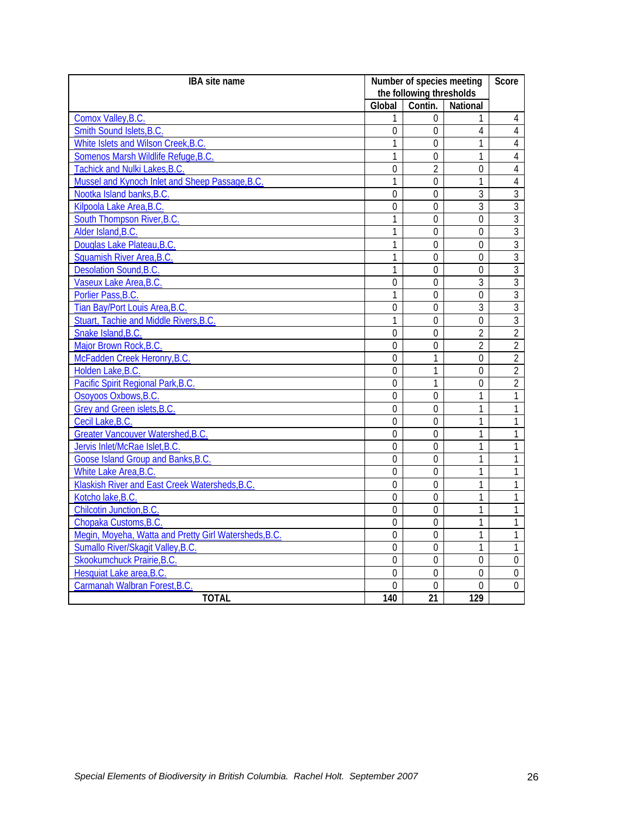| IBA site name                                         | Number of species meeting |                 | Score            |                |
|-------------------------------------------------------|---------------------------|-----------------|------------------|----------------|
|                                                       | the following thresholds  |                 |                  |                |
|                                                       | Global                    | Contin.         | <b>National</b>  |                |
| Comox Valley, B.C.                                    | 1                         | $\theta$        | 1                | 4              |
| Smith Sound Islets, B.C.                              | 0                         | $\Omega$        | 4                | $\overline{4}$ |
| White Islets and Wilson Creek, B.C.                   | 1                         | $\overline{0}$  | 1                | 4              |
| Somenos Marsh Wildlife Refuge, B.C.                   | 1                         | $\theta$        | 1                | $\overline{4}$ |
| Tachick and Nulki Lakes, B.C.                         | $\mathbf 0$               | $\overline{2}$  | $\mathbf 0$      | $\overline{4}$ |
| Mussel and Kynoch Inlet and Sheep Passage, B.C.       | 1                         | $\overline{0}$  | $\mathbf{1}$     | $\overline{4}$ |
| Nootka Island banks, B.C.                             | $\overline{0}$            | $\overline{0}$  | 3                | $\overline{3}$ |
| Kilpoola Lake Area, B.C.                              | $\overline{0}$            | $\mathbf 0$     | $\overline{3}$   | $\overline{3}$ |
| South Thompson River, B.C.                            | 1                         | $\mathbf 0$     | $\mathbf 0$      | $\overline{3}$ |
| Alder Island, B.C.                                    | 1                         | $\Omega$        | $\Omega$         | 3              |
| Douglas Lake Plateau, B.C.                            | $\mathbf{1}$              | $\overline{0}$  | $\overline{0}$   | $\overline{3}$ |
| Squamish River Area, B.C.                             | 1                         | $\theta$        | $\overline{0}$   | $\overline{3}$ |
| Desolation Sound, B.C.                                | 1                         | $\overline{0}$  | $\overline{0}$   | $\overline{3}$ |
| Vaseux Lake Area, B.C.                                | $\mathbf 0$               | 0               | 3                | $\overline{3}$ |
| Porlier Pass, B.C.                                    | 1                         | $\mathbf 0$     | $\mathbf 0$      | $\overline{3}$ |
| Tian Bay/Port Louis Area, B.C.                        | $\overline{0}$            | $\overline{0}$  | $\overline{3}$   | $\overline{3}$ |
| Stuart, Tachie and Middle Rivers, B.C.                | 1                         | $\overline{0}$  | $\overline{0}$   | $\overline{3}$ |
| Snake Island, B.C.                                    | $\theta$                  | $\theta$        | $\overline{2}$   | $\overline{2}$ |
| Major Brown Rock, B.C.                                | $\theta$                  | $\theta$        | $\overline{2}$   | $\overline{2}$ |
| McFadden Creek Heronry, B.C.                          | $\overline{0}$            | $\mathbf{1}$    | $\overline{0}$   | $\overline{2}$ |
| Holden Lake, B.C.                                     | $\overline{0}$            | $\mathbf{1}$    | $\overline{0}$   | $\overline{2}$ |
| Pacific Spirit Regional Park, B.C.                    | $\mathbf 0$               | $\mathbf{1}$    | $\mathbf 0$      | $\overline{2}$ |
| Osoyoos Oxbows, B.C.                                  | $\mathbf 0$               | 0               | 1                | $\mathbf{1}$   |
| Grey and Green islets, B.C                            | $\mathbf 0$               | $\theta$        | $\mathbf{1}$     | $\mathbf{1}$   |
| Cecil Lake, B.C.                                      | $\overline{0}$            | $\overline{0}$  | $\mathbf{1}$     | 1              |
| Greater Vancouver Watershed, B.C.                     | $\overline{0}$            | $\overline{0}$  | 1                | $\mathbf{1}$   |
| Jervis Inlet/McRae Islet, B.C.                        | $\overline{0}$            | $\overline{0}$  | 1                | 1              |
| Goose Island Group and Banks, B.C.                    | $\theta$                  | $\theta$        | 1                | 1              |
| White Lake Area, B.C.                                 | $\overline{0}$            | $\overline{0}$  | $\mathbf{1}$     | $\mathbf{1}$   |
| Klaskish River and East Creek Watersheds, B.C.        | $\overline{0}$            | $\overline{0}$  | 1                | 1              |
| Kotcho lake, B.C.                                     | $\overline{0}$            | $\theta$        | $\mathbf{1}$     | $\mathbf{1}$   |
| Chilcotin Junction, B.C.                              | $\theta$                  | $\theta$        | 1                | 1              |
| Chopaka Customs, B.C.                                 | $\overline{0}$            | $\overline{0}$  | 1                | $\mathbf{1}$   |
| Megin, Moyeha, Watta and Pretty Girl Watersheds, B.C. | $\overline{0}$            | $\mathbf 0$     | 1                | $\mathbf{1}$   |
| Sumallo River/Skagit Valley, B.C.                     | $\overline{0}$            | $\mathbf 0$     | $\mathbf{1}$     | 1              |
| Skookumchuck Prairie, B.C.                            | $\mathbf 0$               | $\mathbf 0$     | $\mathbf 0$      | $\mathbf 0$    |
| Hesquiat Lake area, B.C.                              | 0                         | $\Omega$        | $\theta$         | 0              |
| Carmanah Walbran Forest, B.C.                         | 0                         | $\overline{0}$  | $\overline{0}$   | $\overline{0}$ |
| <b>TOTAL</b>                                          | 140                       | $\overline{21}$ | $\overline{129}$ |                |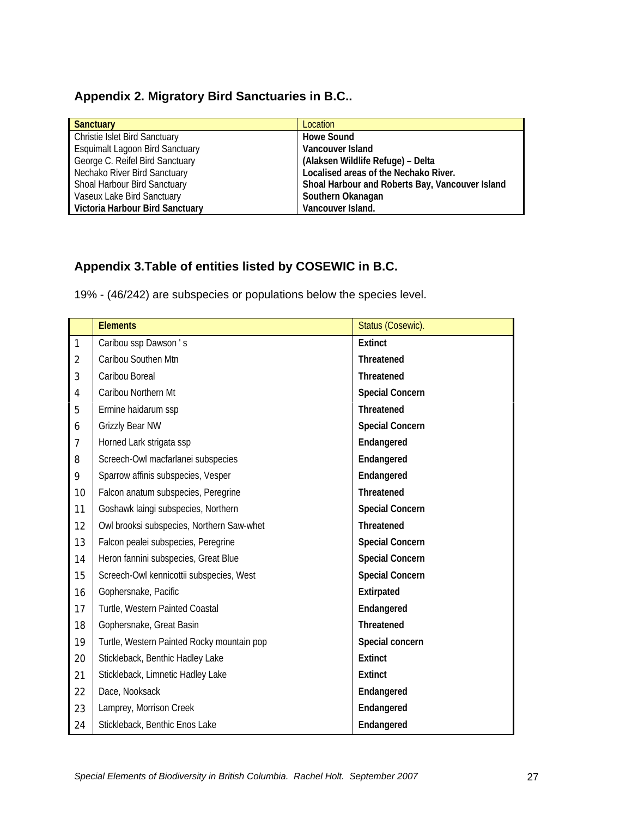## **Appendix 2. Migratory Bird Sanctuaries in B.C..**

| <b>Sanctuary</b>                       | Location                                        |
|----------------------------------------|-------------------------------------------------|
| Christie Islet Bird Sanctuary          | <b>Howe Sound</b>                               |
| <b>Esquimalt Lagoon Bird Sanctuary</b> | Vancouver Island                                |
| George C. Reifel Bird Sanctuary        | (Alaksen Wildlife Refuge) - Delta               |
| Nechako River Bird Sanctuary           | Localised areas of the Nechako River.           |
| Shoal Harbour Bird Sanctuary           | Shoal Harbour and Roberts Bay, Vancouver Island |
| Vaseux Lake Bird Sanctuary             | Southern Okanagan                               |
| Victoria Harbour Bird Sanctuary        | Vancouver Island.                               |

# **Appendix 3.Table of entities listed by COSEWIC in B.C.**

19% - (46/242) are subspecies or populations below the species level.

|                | <b>Elements</b>                            | Status (Cosewic).      |
|----------------|--------------------------------------------|------------------------|
| $\mathbf{1}$   | Caribou ssp Dawson's                       | <b>Extinct</b>         |
| $\overline{2}$ | Caribou Southen Mtn                        | <b>Threatened</b>      |
| 3              | Caribou Boreal                             | Threatened             |
| 4              | Caribou Northern Mt                        | <b>Special Concern</b> |
| 5              | Ermine haidarum ssp                        | Threatened             |
| 6              | Grizzly Bear NW                            | <b>Special Concern</b> |
| 7              | Horned Lark strigata ssp                   | Endangered             |
| 8              | Screech-Owl macfarlanei subspecies         | Endangered             |
| 9              | Sparrow affinis subspecies, Vesper         | Endangered             |
| 10             | Falcon anatum subspecies, Peregrine        | Threatened             |
| 11             | Goshawk laingi subspecies, Northern        | <b>Special Concern</b> |
| 12             | Owl brooksi subspecies, Northern Saw-whet  | Threatened             |
| 13             | Falcon pealei subspecies, Peregrine        | <b>Special Concern</b> |
| 14             | Heron fannini subspecies, Great Blue       | <b>Special Concern</b> |
| 15             | Screech-Owl kennicottii subspecies, West   | <b>Special Concern</b> |
| 16             | Gophersnake, Pacific                       | Extirpated             |
| 17             | Turtle, Western Painted Coastal            | Endangered             |
| 18             | Gophersnake, Great Basin                   | Threatened             |
| 19             | Turtle, Western Painted Rocky mountain pop | Special concern        |
| 20             | Stickleback, Benthic Hadley Lake           | <b>Extinct</b>         |
| 21             | Stickleback, Limnetic Hadley Lake          | <b>Extinct</b>         |
| 22             | Dace, Nooksack                             | Endangered             |
| 23             | Lamprey, Morrison Creek                    | Endangered             |
| 24             | Stickleback, Benthic Enos Lake             | Endangered             |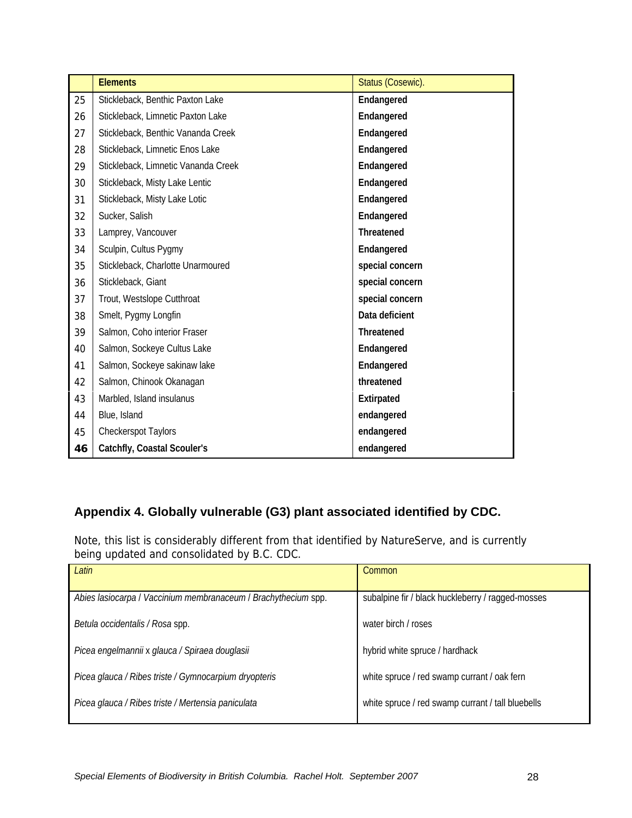|    | <b>Elements</b>                     | Status (Cosewic). |
|----|-------------------------------------|-------------------|
| 25 | Stickleback, Benthic Paxton Lake    | Endangered        |
| 26 | Stickleback, Limnetic Paxton Lake   | Endangered        |
| 27 | Stickleback, Benthic Vananda Creek  | Endangered        |
| 28 | Stickleback, Limnetic Enos Lake     | Endangered        |
| 29 | Stickleback, Limnetic Vananda Creek | Endangered        |
| 30 | Stickleback, Misty Lake Lentic      | Endangered        |
| 31 | Stickleback, Misty Lake Lotic       | Endangered        |
| 32 | Sucker, Salish                      | Endangered        |
| 33 | Lamprey, Vancouver                  | <b>Threatened</b> |
| 34 | Sculpin, Cultus Pygmy               | Endangered        |
| 35 | Stickleback, Charlotte Unarmoured   | special concern   |
| 36 | Stickleback, Giant                  | special concern   |
| 37 | Trout, Westslope Cutthroat          | special concern   |
| 38 | Smelt, Pygmy Longfin                | Data deficient    |
| 39 | Salmon, Coho interior Fraser        | Threatened        |
| 40 | Salmon, Sockeye Cultus Lake         | Endangered        |
| 41 | Salmon, Sockeye sakinaw lake        | Endangered        |
| 42 | Salmon, Chinook Okanagan            | threatened        |
| 43 | Marbled, Island insulanus           | Extirpated        |
| 44 | Blue, Island                        | endangered        |
| 45 | Checkerspot Taylors                 | endangered        |
| 46 | Catchfly, Coastal Scouler's         | endangered        |

# **Appendix 4. Globally vulnerable (G3) plant associated identified by CDC.**

Note, this list is considerably different from that identified by NatureServe, and is currently being updated and consolidated by B.C. CDC.

| Latin                                                          | Common                                            |
|----------------------------------------------------------------|---------------------------------------------------|
|                                                                |                                                   |
| Abies lasiocarpa   Vaccinium membranaceum   Brachythecium spp. | subalpine fir / black huckleberry / ragged-mosses |
|                                                                |                                                   |
| Betula occidentalis / Rosa spp.                                | water birch / roses                               |
|                                                                |                                                   |
| Picea engelmannii x glauca / Spiraea douglasii                 | hybrid white spruce / hardhack                    |
|                                                                |                                                   |
| Picea glauca / Ribes triste / Gymnocarpium dryopteris          | white spruce / red swamp currant / oak fern       |
|                                                                |                                                   |
| Picea glauca / Ribes triste / Mertensia paniculata             | white spruce / red swamp currant / tall bluebells |
|                                                                |                                                   |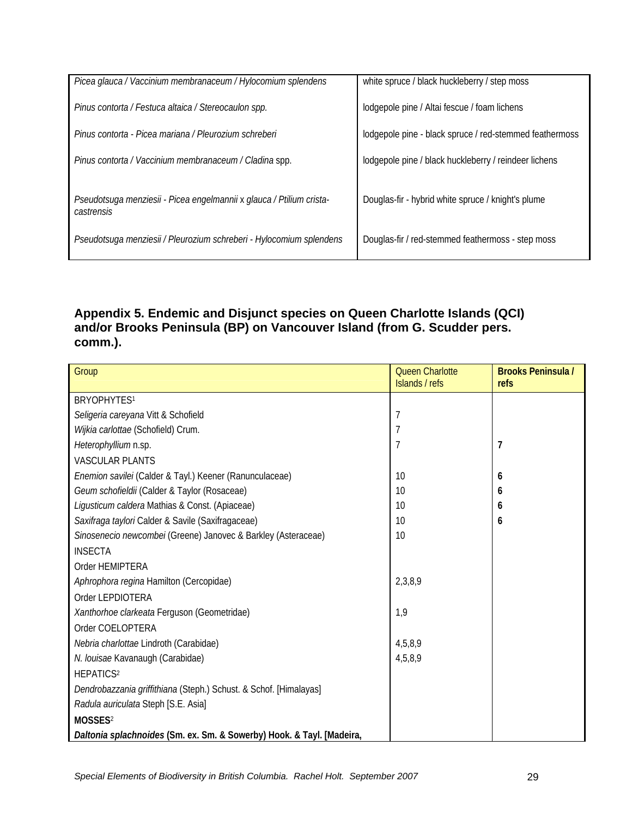| Picea glauca / Vaccinium membranaceum / Hylocomium splendens                       | white spruce / black huckleberry / step moss            |
|------------------------------------------------------------------------------------|---------------------------------------------------------|
| Pinus contorta / Festuca altaica / Stereocaulon spp.                               | lodgepole pine / Altai fescue / foam lichens            |
| Pinus contorta - Picea mariana / Pleurozium schreberi                              | lodgepole pine - black spruce / red-stemmed feathermoss |
| Pinus contorta / Vaccinium membranaceum / Cladina spp.                             | lodgepole pine / black huckleberry / reindeer lichens   |
| Pseudotsuga menziesii - Picea engelmannii x glauca / Ptilium crista-<br>castrensis | Douglas-fir - hybrid white spruce / knight's plume      |
| Pseudotsuga menziesii / Pleurozium schreberi - Hylocomium splendens                | Douglas-fir / red-stemmed feathermoss - step moss       |
|                                                                                    |                                                         |

# **Appendix 5. Endemic and Disjunct species on Queen Charlotte Islands (QCI) and/or Brooks Peninsula (BP) on Vancouver Island (from G. Scudder pers. comm.).**

| Group                                                                 | <b>Queen Charlotte</b><br>Islands / refs | <b>Brooks Peninsula /</b><br>refs |
|-----------------------------------------------------------------------|------------------------------------------|-----------------------------------|
| BRYOPHYTES <sup>1</sup>                                               |                                          |                                   |
| Seligeria careyana Vitt & Schofield                                   | 7                                        |                                   |
| Wijkia carlottae (Schofield) Crum.                                    |                                          |                                   |
| Heterophyllium n.sp.                                                  | $\overline{7}$                           | 7                                 |
|                                                                       |                                          |                                   |
| <b>VASCULAR PLANTS</b>                                                |                                          |                                   |
| Enemion savilei (Calder & Tayl.) Keener (Ranunculaceae)               | 10                                       | 6                                 |
| Geum schofieldii (Calder & Taylor (Rosaceae)                          | 10                                       | 6                                 |
| Ligusticum caldera Mathias & Const. (Apiaceae)                        | 10                                       | 6                                 |
| Saxifraga taylori Calder & Savile (Saxifragaceae)                     | 10                                       | 6                                 |
| Sinosenecio newcombei (Greene) Janovec & Barkley (Asteraceae)         | 10                                       |                                   |
| <b>INSECTA</b>                                                        |                                          |                                   |
| Order HEMIPTERA                                                       |                                          |                                   |
| Aphrophora regina Hamilton (Cercopidae)                               | 2,3,8,9                                  |                                   |
| Order LEPDIOTERA                                                      |                                          |                                   |
| Xanthorhoe clarkeata Ferguson (Geometridae)                           | 1,9                                      |                                   |
| Order COELOPTERA                                                      |                                          |                                   |
| Nebria charlottae Lindroth (Carabidae)                                | 4,5,8,9                                  |                                   |
| N. louisae Kavanaugh (Carabidae)                                      | 4,5,8,9                                  |                                   |
| HEPATICS <sup>2</sup>                                                 |                                          |                                   |
| Dendrobazzania griffithiana (Steph.) Schust. & Schof. [Himalayas]     |                                          |                                   |
| Radula auriculata Steph [S.E. Asia]                                   |                                          |                                   |
| MOSSES <sup>2</sup>                                                   |                                          |                                   |
| Daltonia splachnoides (Sm. ex. Sm. & Sowerby) Hook. & Tayl. [Madeira, |                                          |                                   |